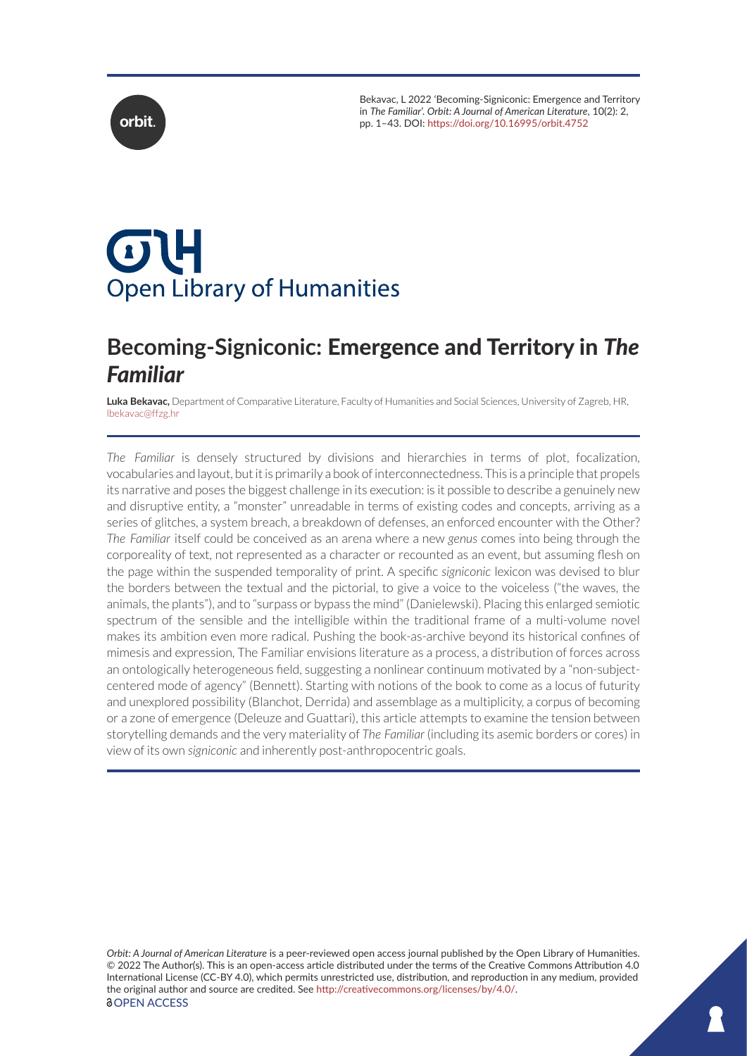Bekavac, L 2022 'Becoming-Signiconic: Emergence and Territory in *The Familiar*'. *Orbit: A Journal of American Literature*, 10(2): 2, **orbit.** pp. 1–43. DOI: <https://doi.org/10.16995/orbit.4752>



# $\sigma$ U **Open Library of Humanities**

# **Becoming-Signiconic:** Emergence and Territory in *The Familiar*

**Luka Bekavac,** Department of Comparative Literature, Faculty of Humanities and Social Sciences, University of Zagreb, HR, [lbekavac@ffzg.hr](mailto:lbekavac@ffzg.hr)

*The Familiar* is densely structured by divisions and hierarchies in terms of plot, focalization, vocabularies and layout, but it is primarily a book of interconnectedness. This is a principle that propels its narrative and poses the biggest challenge in its execution: is it possible to describe a genuinely new and disruptive entity, a "monster" unreadable in terms of existing codes and concepts, arriving as a series of glitches, a system breach, a breakdown of defenses, an enforced encounter with the Other? *The Familiar* itself could be conceived as an arena where a new *genus* comes into being through the corporeality of text, not represented as a character or recounted as an event, but assuming flesh on the page within the suspended temporality of print. A specific *signiconic* lexicon was devised to blur the borders between the textual and the pictorial, to give a voice to the voiceless ("the waves, the animals, the plants"), and to "surpass or bypass the mind" (Danielewski). Placing this enlarged semiotic spectrum of the sensible and the intelligible within the traditional frame of a multi-volume novel makes its ambition even more radical. Pushing the book-as-archive beyond its historical confines of mimesis and expression, The Familiar envisions literature as a process, a distribution of forces across an ontologically heterogeneous field, suggesting a nonlinear continuum motivated by a "non-subjectcentered mode of agency" (Bennett). Starting with notions of the book to come as a locus of futurity and unexplored possibility (Blanchot, Derrida) and assemblage as a multiplicity, a corpus of becoming or a zone of emergence (Deleuze and Guattari), this article attempts to examine the tension between storytelling demands and the very materiality of *The Familiar* (including its asemic borders or cores) in view of its own *signiconic* and inherently post-anthropocentric goals.

*Orbit: A Journal of American Literature* is a peer-reviewed open access journal published by the Open Library of Humanities. © 2022 The Author(s). This is an open-access article distributed under the terms of the Creative Commons Attribution 4.0 International License (CC-BY 4.0), which permits unrestricted use, distribution, and reproduction in any medium, provided the original author and source are credited. See [http://creativecommons.org/licenses/by/4.0/.](http://creativecommons.org/licenses/by/4.0/) *<u>OOPEN ACCESS</u>*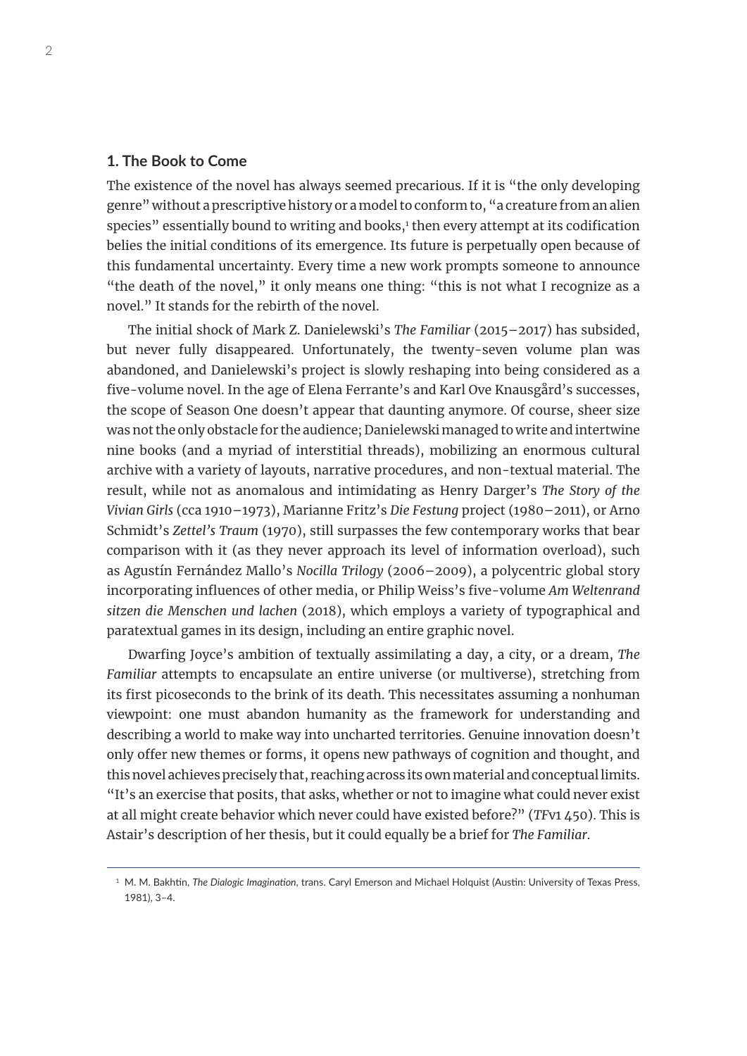## **1. The Book to Come**

The existence of the novel has always seemed precarious. If it is "the only developing genre" without a prescriptive history or a model to conform to, "a creature from an alien species" essentially bound to writing and books,<sup>1</sup> then every attempt at its codification belies the initial conditions of its emergence. Its future is perpetually open because of this fundamental uncertainty. Every time a new work prompts someone to announce "the death of the novel," it only means one thing: "this is not what I recognize as a novel." It stands for the rebirth of the novel.

The initial shock of Mark Z. Danielewski's *The Familiar* (2015–2017) has subsided, but never fully disappeared. Unfortunately, the twenty-seven volume plan was abandoned, and Danielewski's project is slowly reshaping into being considered as a five-volume novel. In the age of Elena Ferrante's and Karl Ove Knausgård's successes, the scope of Season One doesn't appear that daunting anymore. Of course, sheer size was not the only obstacle for the audience; Danielewski managed to write and intertwine nine books (and a myriad of interstitial threads), mobilizing an enormous cultural archive with a variety of layouts, narrative procedures, and non-textual material. The result, while not as anomalous and intimidating as Henry Darger's *The Story of the Vivian Girls* (cca 1910–1973), Marianne Fritz's *Die Festung* project (1980–2011), or Arno Schmidt's *Zettel's Traum* (1970), still surpasses the few contemporary works that bear comparison with it (as they never approach its level of information overload), such as Agustín Fernández Mallo's *Nocilla Trilogy* (2006–2009), a polycentric global story incorporating influences of other media, or Philip Weiss's five-volume *Am Weltenrand sitzen die Menschen und lachen* (2018), which employs a variety of typographical and paratextual games in its design, including an entire graphic novel.

Dwarfing Joyce's ambition of textually assimilating a day, a city, or a dream, *The Familiar* attempts to encapsulate an entire universe (or multiverse), stretching from its first picoseconds to the brink of its death. This necessitates assuming a nonhuman viewpoint: one must abandon humanity as the framework for understanding and describing a world to make way into uncharted territories. Genuine innovation doesn't only offer new themes or forms, it opens new pathways of cognition and thought, and this novel achieves precisely that, reaching across its own material and conceptual limits. "It's an exercise that posits, that asks, whether or not to imagine what could never exist at all might create behavior which never could have existed before?" (*TF*v1 450). This is Astair's description of her thesis, but it could equally be a brief for *The Familiar*.

<sup>1</sup> M. M. Bakhtin, *The Dialogic Imagination*, trans. Caryl Emerson and Michael Holquist (Austin: University of Texas Press, 1981), 3–4.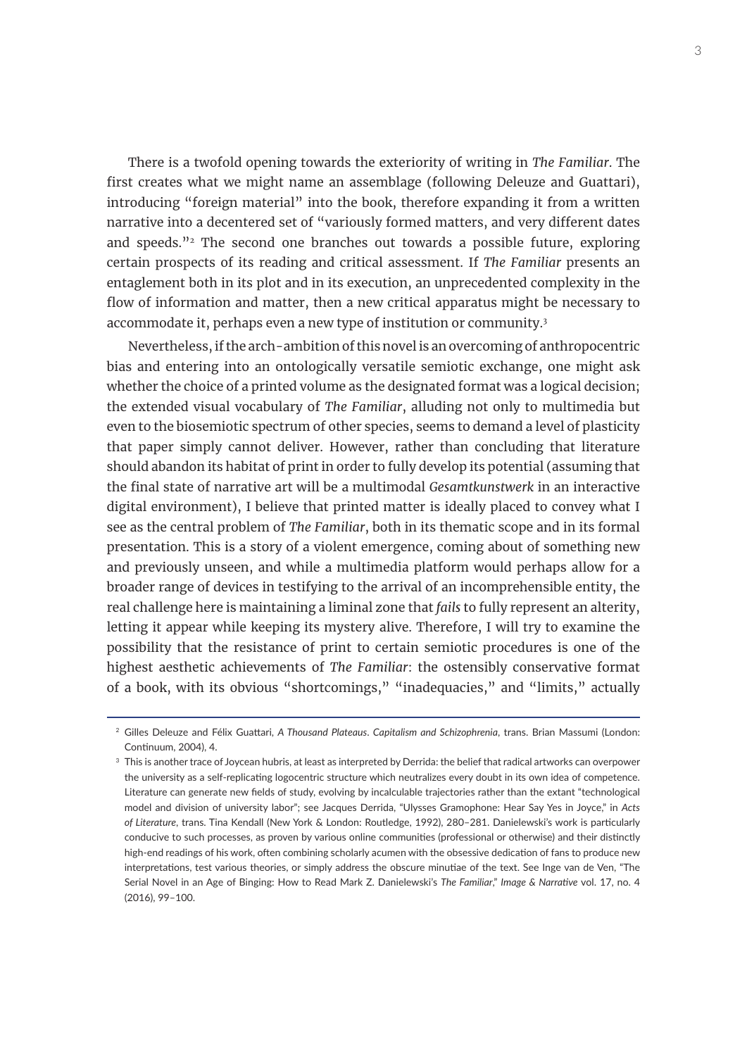There is a twofold opening towards the exteriority of writing in *The Familiar*. The first creates what we might name an assemblage (following Deleuze and Guattari), introducing "foreign material" into the book, therefore expanding it from a written narrative into a decentered set of "variously formed matters, and very different dates and speeds." $2$  The second one branches out towards a possible future, exploring certain prospects of its reading and critical assessment. If *The Familiar* presents an entaglement both in its plot and in its execution, an unprecedented complexity in the flow of information and matter, then a new critical apparatus might be necessary to accommodate it, perhaps even a new type of institution or community.3

Nevertheless, if the arch-ambition of this novel is an overcoming of anthropocentric bias and entering into an ontologically versatile semiotic exchange, one might ask whether the choice of a printed volume as the designated format was a logical decision; the extended visual vocabulary of *The Familiar*, alluding not only to multimedia but even to the biosemiotic spectrum of other species, seems to demand a level of plasticity that paper simply cannot deliver. However, rather than concluding that literature should abandon its habitat of print in order to fully develop its potential (assuming that the final state of narrative art will be a multimodal *Gesamtkunstwerk* in an interactive digital environment), I believe that printed matter is ideally placed to convey what I see as the central problem of *The Familiar*, both in its thematic scope and in its formal presentation. This is a story of a violent emergence, coming about of something new and previously unseen, and while a multimedia platform would perhaps allow for a broader range of devices in testifying to the arrival of an incomprehensible entity, the real challenge here is maintaining a liminal zone that *fails* to fully represent an alterity, letting it appear while keeping its mystery alive. Therefore, I will try to examine the possibility that the resistance of print to certain semiotic procedures is one of the highest aesthetic achievements of *The Familiar*: the ostensibly conservative format of a book, with its obvious "shortcomings," "inadequacies," and "limits," actually

<sup>2</sup> Gilles Deleuze and Félix Guattari, *A Thousand Plateaus*. *Capitalism and Schizophrenia*, trans. Brian Massumi (London: Continuum, 2004), 4.

<sup>&</sup>lt;sup>3</sup> This is another trace of Joycean hubris, at least as interpreted by Derrida: the belief that radical artworks can overpower the university as a self-replicating logocentric structure which neutralizes every doubt in its own idea of competence. Literature can generate new fields of study, evolving by incalculable trajectories rather than the extant "technological model and division of university labor"; see Jacques Derrida, "Ulysses Gramophone: Hear Say Yes in Joyce," in *Acts of Literature*, trans. Tina Kendall (New York & London: Routledge, 1992), 280–281. Danielewski's work is particularly conducive to such processes, as proven by various online communities (professional or otherwise) and their distinctly high-end readings of his work, often combining scholarly acumen with the obsessive dedication of fans to produce new interpretations, test various theories, or simply address the obscure minutiae of the text. See Inge van de Ven, "The Serial Novel in an Age of Binging: How to Read Mark Z. Danielewski's *The Familiar*," *Image & Narrative* vol. 17, no. 4 (2016), 99–100.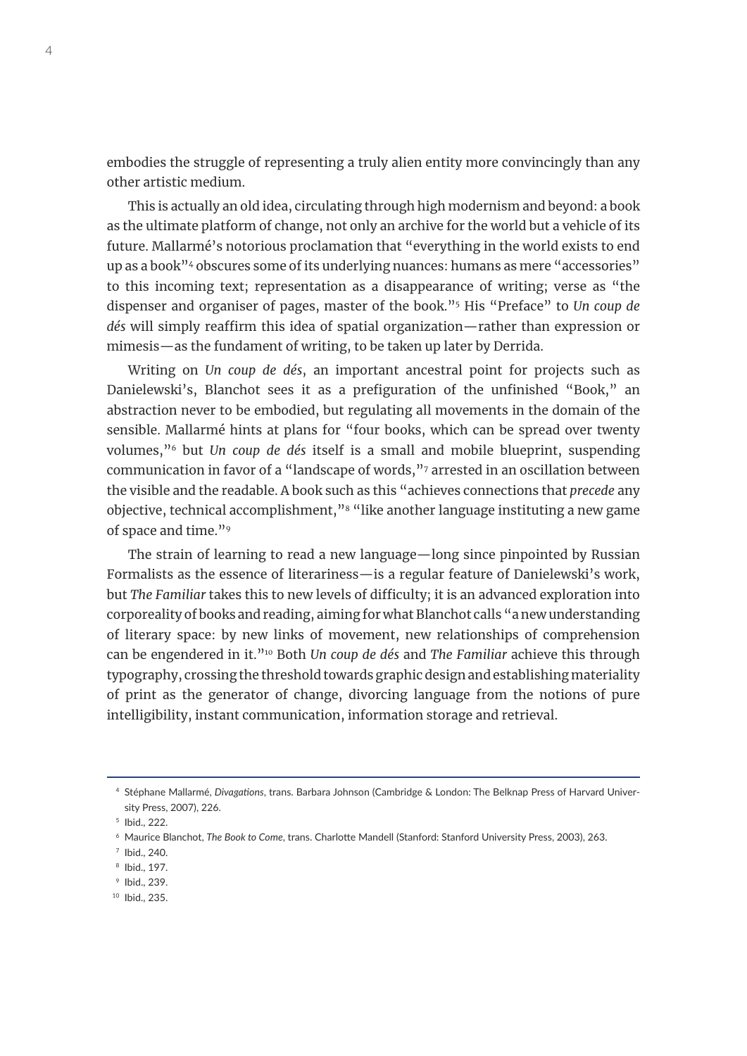embodies the struggle of representing a truly alien entity more convincingly than any other artistic medium.

This is actually an old idea, circulating through high modernism and beyond: a book as the ultimate platform of change, not only an archive for the world but a vehicle of its future. Mallarmé's notorious proclamation that "everything in the world exists to end up as a book"<sup>4</sup> obscures some of its underlying nuances: humans as mere "accessories" to this incoming text; representation as a disappearance of writing; verse as "the dispenser and organiser of pages, master of the book."5 His "Preface" to *Un coup de dés* will simply reaffirm this idea of spatial organization—rather than expression or mimesis—as the fundament of writing, to be taken up later by Derrida.

Writing on *Un coup de dés*, an important ancestral point for projects such as Danielewski's, Blanchot sees it as a prefiguration of the unfinished "Book," an abstraction never to be embodied, but regulating all movements in the domain of the sensible. Mallarmé hints at plans for "four books, which can be spread over twenty volumes,"6 but *Un coup de dés* itself is a small and mobile blueprint, suspending communication in favor of a "landscape of words,"7 arrested in an oscillation between the visible and the readable. A book such as this "achieves connections that *precede* any objective, technical accomplishment,"<sup>8</sup> "like another language instituting a new game of space and time."9

The strain of learning to read a new language—long since pinpointed by Russian Formalists as the essence of literariness—is a regular feature of Danielewski's work, but *The Familiar* takes this to new levels of difficulty; it is an advanced exploration into corporeality of books and reading, aiming for what Blanchot calls "a new understanding of literary space: by new links of movement, new relationships of comprehension can be engendered in it."10 Both *Un coup de dés* and *The Familiar* achieve this through typography, crossing the threshold towards graphic design and establishing materiality of print as the generator of change, divorcing language from the notions of pure intelligibility, instant communication, information storage and retrieval.

<sup>4</sup> Stéphane Mallarmé, *Divagations*, trans. Barbara Johnson (Cambridge & London: The Belknap Press of Harvard University Press, 2007), 226.

<sup>5</sup> Ibid., 222.

<sup>6</sup> Maurice Blanchot, *The Book to Come*, trans. Charlotte Mandell (Stanford: Stanford University Press, 2003), 263.

<sup>7</sup> Ibid., 240.

<sup>8</sup> Ibid., 197.

<sup>9</sup> Ibid., 239.

<sup>10</sup> Ibid., 235.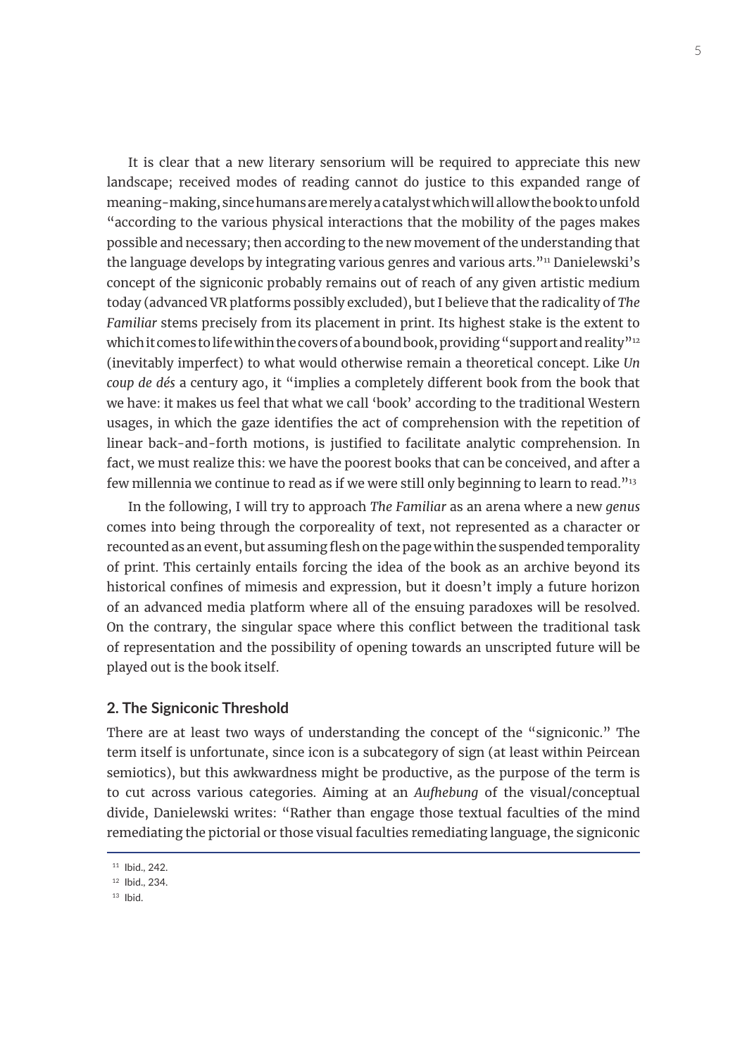It is clear that a new literary sensorium will be required to appreciate this new landscape; received modes of reading cannot do justice to this expanded range of meaning-making, since humans are merely a catalyst which will allow the book to unfold "according to the various physical interactions that the mobility of the pages makes possible and necessary; then according to the new movement of the understanding that the language develops by integrating various genres and various arts."<sup>11</sup> Danielewski's concept of the signiconic probably remains out of reach of any given artistic medium today (advanced VR platforms possibly excluded), but I believe that the radicality of *The Familiar* stems precisely from its placement in print. Its highest stake is the extent to which it comes to life within the covers of a bound book, providing "support and reality"<sup>12</sup> (inevitably imperfect) to what would otherwise remain a theoretical concept. Like *Un coup de dés* a century ago, it "implies a completely different book from the book that we have: it makes us feel that what we call 'book' according to the traditional Western usages, in which the gaze identifies the act of comprehension with the repetition of linear back-and-forth motions, is justified to facilitate analytic comprehension. In fact, we must realize this: we have the poorest books that can be conceived, and after a few millennia we continue to read as if we were still only beginning to learn to read."<sup>13</sup>

In the following, I will try to approach *The Familiar* as an arena where a new *genus* comes into being through the corporeality of text, not represented as a character or recounted as anevent, but assuming flesh on the page within the suspended temporality of print. This certainly entails forcing the idea of the book as an archive beyond its historical confines of mimesis and expression, but it doesn't imply a future horizon of an advanced media platform where all of the ensuing paradoxes will be resolved. On the contrary, the singular space where this conflict between the traditional task of representation and the possibility of opening towards an unscripted future will be played out is the book itself.

#### **2. The Signiconic Threshold**

There are at least two ways of understanding the concept of the "signiconic." The term itself is unfortunate, since icon is a subcategory of sign (at least within Peircean semiotics), but this awkwardness might be productive, as the purpose of the term is to cut across various categories. Aiming at an *Aufhebung* of the visual/conceptual divide, Danielewski writes: "Rather than engage those textual faculties of the mind remediating the pictorial or those visual faculties remediating language, the signiconic

<sup>11</sup> Ibid., 242.

<sup>12</sup> Ibid., 234.

 $13$  Ibid.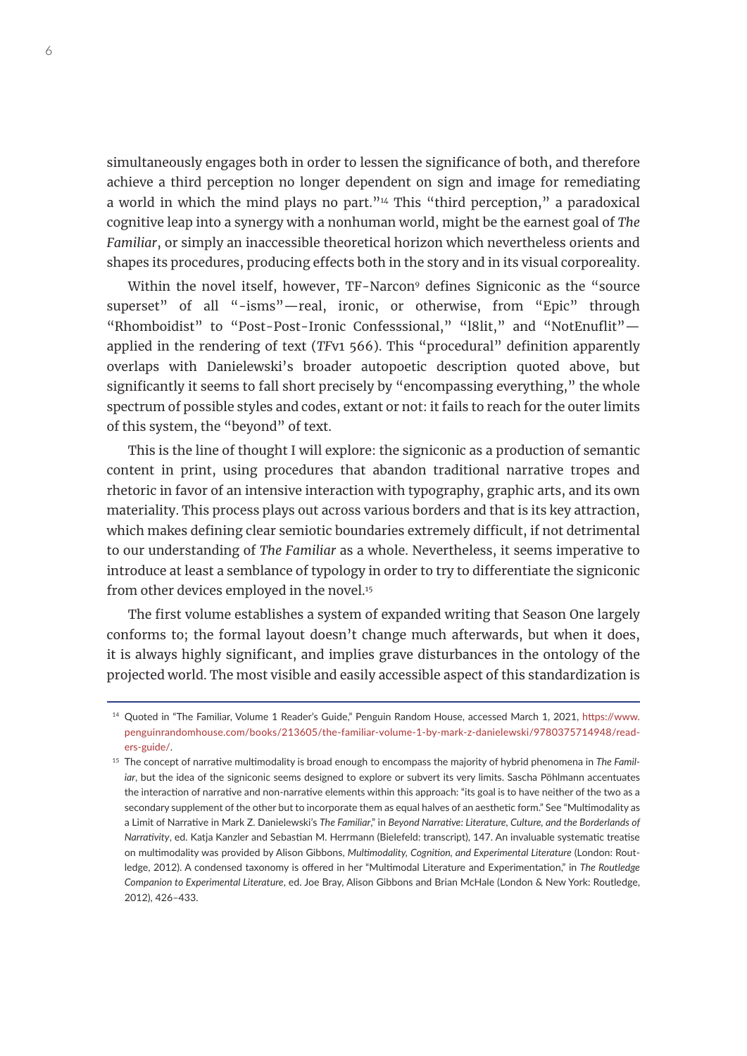simultaneously engages both in order to lessen the significance of both, and therefore achieve a third perception no longer dependent on sign and image for remediating a world in which the mind plays no part." $44$  This "third perception," a paradoxical cognitive leap into a synergy with a nonhuman world, might be the earnest goal of *The Familiar*, or simply an inaccessible theoretical horizon which nevertheless orients and shapes its procedures, producing effects both in the story and in its visual corporeality.

Within the novel itself, however, TF-Narcon<sup>9</sup> defines Signiconic as the "source superset" of all "-isms"—real, ironic, or otherwise, from "Epic" through "Rhomboidist" to "Post-Post-Ironic Confesssional," "l8lit," and "NotEnuflit" applied in the rendering of text (*TF*v1 566). This "procedural" definition apparently overlaps with Danielewski's broader autopoetic description quoted above, but significantly it seems to fall short precisely by "encompassing everything," the whole spectrum of possible styles and codes, extant or not: it fails to reach for the outer limits of this system, the "beyond" of text.

This is the line of thought I will explore: the signiconic as a production of semantic content in print, using procedures that abandon traditional narrative tropes and rhetoric in favor of an intensive interaction with typography, graphic arts, and its own materiality. This process plays out across various borders and that is its key attraction, which makes defining clear semiotic boundaries extremely difficult, if not detrimental to our understanding of *The Familiar* as a whole. Nevertheless, it seems imperative to introduce at least a semblance of typology in order to try to differentiate the signiconic from other devices employed in the novel.<sup>15</sup>

The first volume establishes a system of expanded writing that Season One largely conforms to; the formal layout doesn't change much afterwards, but when it does, it is always highly significant, and implies grave disturbances in the ontology of the projected world. The most visible and easily accessible aspect of this standardization is

<sup>14</sup> Quoted in "The Familiar, Volume 1 Reader's Guide," Penguin Random House, accessed March 1, 2021, [https://www.](https://www.penguinrandomhouse.com/books/213605/the-familiar-volume-1-by-mark-z-danielewski/9780375714948/readers-guide/) [penguinrandomhouse.com/books/213605/the-familiar-volume-1-by-mark-z-danielewski/9780375714948/read](https://www.penguinrandomhouse.com/books/213605/the-familiar-volume-1-by-mark-z-danielewski/9780375714948/readers-guide/)[ers-guide/.](https://www.penguinrandomhouse.com/books/213605/the-familiar-volume-1-by-mark-z-danielewski/9780375714948/readers-guide/)

<sup>15</sup> The concept of narrative multimodality is broad enough to encompass the majority of hybrid phenomena in *The Familjar*, but the idea of the signiconic seems designed to explore or subvert its very limits. Sascha Pöhlmann accentuates the interaction of narrative and non-narrative elements within this approach: "its goal is to have neither of the two as a secondary supplement of the other but to incorporate them as equal halves of an aesthetic form." See "Multimodality as a Limit of Narrative in Mark Z. Danielewski's *The Familiar*," in *Beyond Narrative: Literature, Culture, and the Borderlands of Narrativity*, ed. Katja Kanzler and Sebastian M. Herrmann (Bielefeld: transcript), 147. An invaluable systematic treatise on multimodality was provided by Alison Gibbons, *Multimodality, Cognition, and Experimental Literature* (London: Routledge, 2012). A condensed taxonomy is offered in her "Multimodal Literature and Experimentation," in *The Routledge Companion to Experimental Literature*, ed. Joe Bray, Alison Gibbons and Brian McHale (London & New York: Routledge, 2012), 426–433.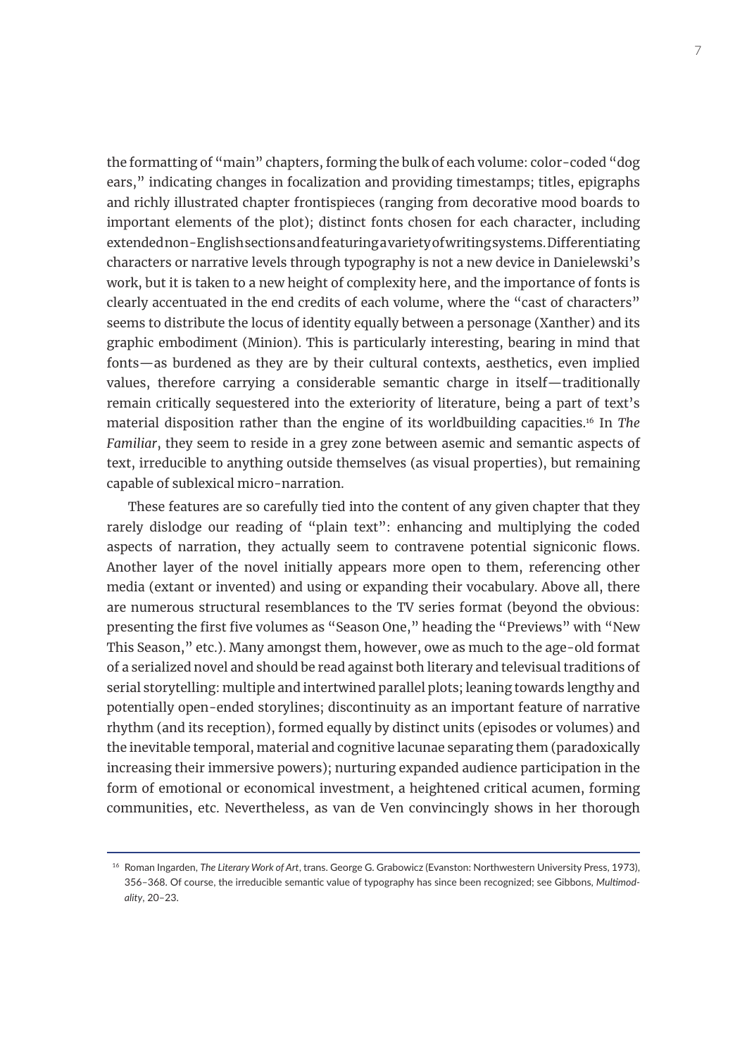the formatting of "main" chapters, forming the bulk of each volume: color-coded "dog ears," indicating changes in focalization and providing timestamps; titles, epigraphs and richly illustrated chapter frontispieces (ranging from decorative mood boards to important elements of the plot); distinct fonts chosen for each character, including extended non-English sections and featuring a variety of writing systems. Differentiating characters or narrative levels through typography is not a new device in Danielewski's work, but it is taken to a new height of complexity here, and the importance of fonts is clearly accentuated in the end credits of each volume, where the "cast of characters" seems to distribute the locus of identity equally between a personage (Xanther) and its graphic embodiment (Minion). This is particularly interesting, bearing in mind that fonts—as burdened as they are by their cultural contexts, aesthetics, even implied values, therefore carrying a considerable semantic charge in itself—traditionally remain critically sequestered into the exteriority of literature, being a part of text's material disposition rather than the engine of its worldbuilding capacities.16 In *The Familiar*, they seem to reside in a grey zone between asemic and semantic aspects of text, irreducible to anything outside themselves (as visual properties), but remaining capable of sublexical micro-narration.

These features are so carefully tied into the content of any given chapter that they rarely dislodge our reading of "plain text": enhancing and multiplying the coded aspects of narration, they actually seem to contravene potential signiconic flows. Another layer of the novel initially appears more open to them, referencing other media (extant or invented) and using or expanding their vocabulary. Above all, there are numerous structural resemblances to the TV series format (beyond the obvious: presenting the first five volumes as "Season One," heading the "Previews" with "New This Season," etc.). Many amongst them, however, owe as much to the age-old format of a serialized novel and should be read against both literary and televisual traditions of serial storytelling: multiple and intertwined parallel plots; leaning towards lengthy and potentially open-ended storylines; discontinuity as an important feature of narrative rhythm (and its reception), formed equally by distinct units (episodes or volumes) and the inevitable temporal, material and cognitive lacunae separating them (paradoxically increasing their immersive powers); nurturing expanded audience participation in the form of emotional or economical investment, a heightened critical acumen, forming communities, etc. Nevertheless, as van de Ven convincingly shows in her thorough

<sup>16</sup> Roman Ingarden, *The Literary Work of Art*, trans. George G. Grabowicz (Evanston: Northwestern University Press, 1973), 356–368. Of course, the irreducible semantic value of typography has since been recognized; see Gibbons, *Multimodality*, 20–23.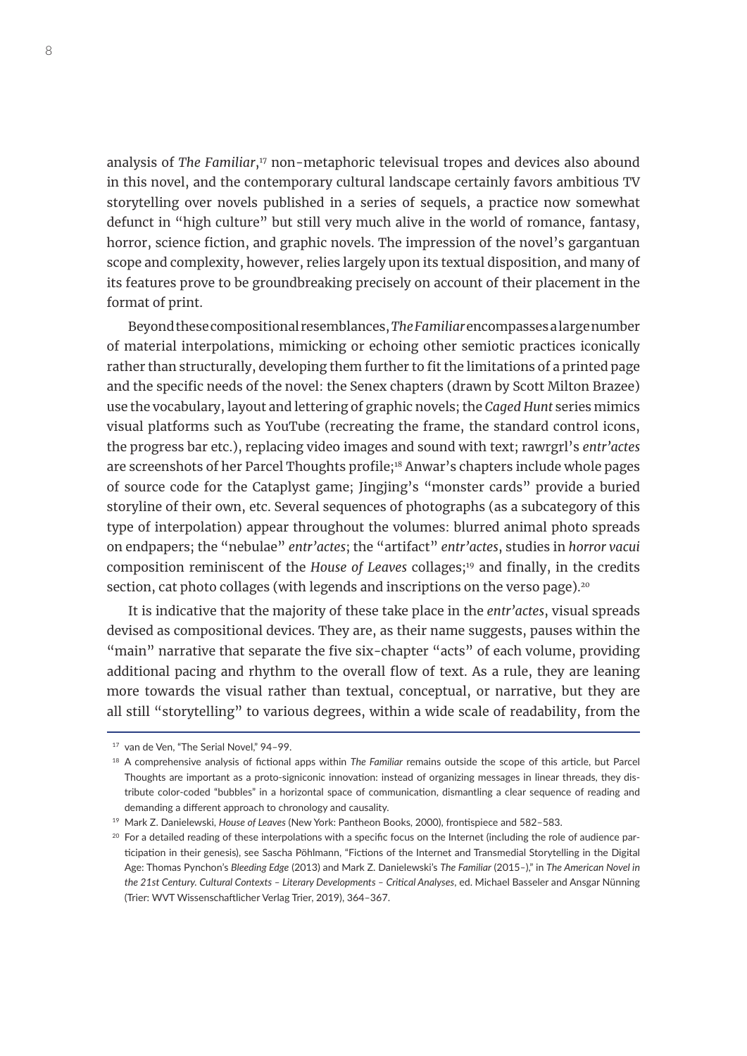analysis of *The Familiar*,<sup>17</sup> non-metaphoric televisual tropes and devices also abound in this novel, and the contemporary cultural landscape certainly favors ambitious TV storytelling over novels published in a series of sequels, a practice now somewhat defunct in "high culture" but still very much alive in the world of romance, fantasy, horror, science fiction, and graphic novels. The impression of the novel's gargantuan scope and complexity, however, relies largely upon its textual disposition, and many of its features prove to be groundbreaking precisely on account of their placement in the format of print.

Beyond these compositional resemblances, *The Familiar* encompasses a large number of material interpolations, mimicking or echoing other semiotic practices iconically rather than structurally, developing them further to fit the limitations of a printed page and the specific needs of the novel: the Senex chapters (drawn by Scott Milton Brazee) use the vocabulary, layout and lettering of graphic novels; the *Caged Hunt* series mimics visual platforms such as YouTube (recreating the frame, the standard control icons, the progress bar etc.), replacing video images and sound with text; rawrgrl's *entr'actes* are screenshots of her Parcel Thoughts profile;18 Anwar's chapters include whole pages of source code for the Cataplyst game; Jingjing's "monster cards" provide a buried storyline of their own, etc. Several sequences of photographs (as a subcategory of this type of interpolation) appear throughout the volumes: blurred animal photo spreads on endpapers; the "nebulae" *entr'actes*; the "artifact" *entr'actes*, studies in *horror vacui* composition reminiscent of the *House of Leaves* collages;<sup>19</sup> and finally, in the credits section, cat photo collages (with legends and inscriptions on the verso page).<sup>20</sup>

It is indicative that the majority of these take place in the *entr'actes*, visual spreads devised as compositional devices. They are, as their name suggests, pauses within the "main" narrative that separate the five six-chapter "acts" of each volume, providing additional pacing and rhythm to the overall flow of text. As a rule, they are leaning more towards the visual rather than textual, conceptual, or narrative, but they are all still "storytelling" to various degrees, within a wide scale of readability, from the

<sup>&</sup>lt;sup>17</sup> van de Ven. "The Serial Novel." 94-99.

<sup>18</sup> A comprehensive analysis of fictional apps within *The Familiar* remains outside the scope of this article, but Parcel Thoughts are important as a proto-signiconic innovation: instead of organizing messages in linear threads, they distribute color-coded "bubbles" in a horizontal space of communication, dismantling a clear sequence of reading and demanding a different approach to chronology and causality.

<sup>19</sup> Mark Z. Danielewski, *House of Leaves* (New York: Pantheon Books, 2000), frontispiece and 582–583.

 $20$  For a detailed reading of these interpolations with a specific focus on the Internet (including the role of audience participation in their genesis), see Sascha Pöhlmann, "Fictions of the Internet and Transmedial Storytelling in the Digital Age: Thomas Pynchon's *Bleeding Edge* (2013) and Mark Z. Danielewski's *The Familiar* (2015*–*)," in *The American Novel in the 21st Century. Cultural Contexts – Literary Developments – Critical Analyses*, ed. Michael Basseler and Ansgar Nünning (Trier: WVT Wissenschaftlicher Verlag Trier, 2019), 364–367.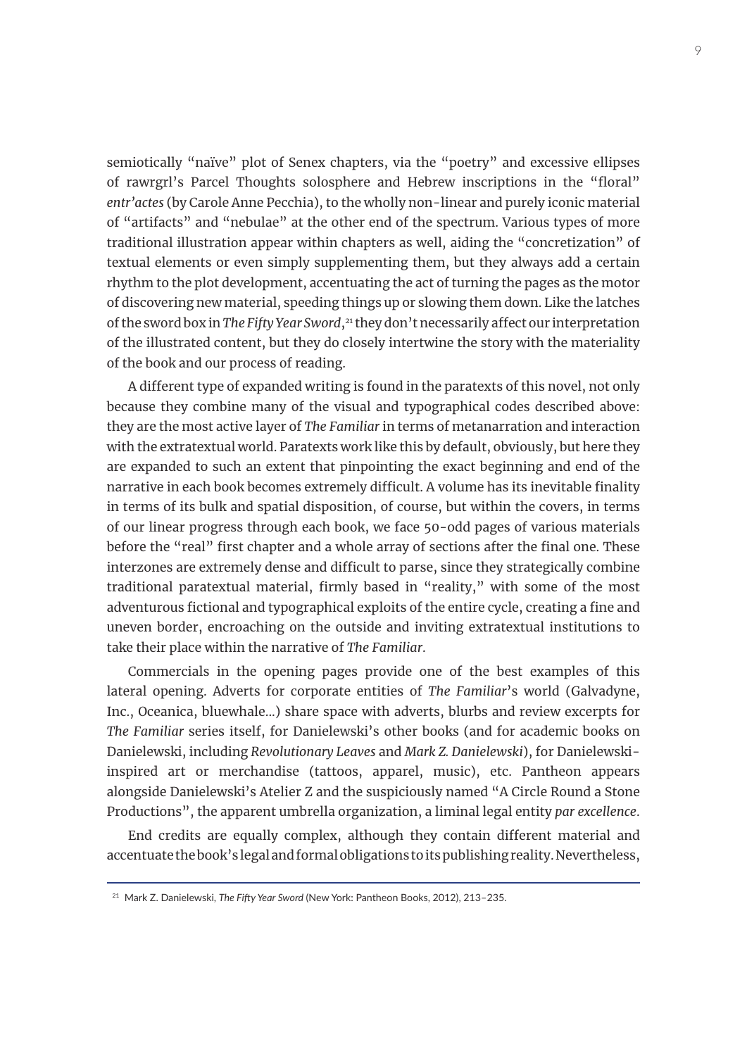semiotically "naïve" plot of Senex chapters, via the "poetry" and excessive ellipses of rawrgrl's Parcel Thoughts solosphere and Hebrew inscriptions in the "floral" *entr'actes* (by Carole Anne Pecchia), to the wholly non-linear and purely iconic material of "artifacts" and "nebulae" at the other end of the spectrum. Various types of more traditional illustration appear within chapters as well, aiding the "concretization" of textual elements or even simply supplementing them, but they always add a certain rhythm to the plot development, accentuating the act of turning the pages as the motor of discovering new material, speeding things up or slowing them down. Like the latches of the sword box in *The Fifty Year Sword*,<sup>21</sup> they don't necessarily affect our interpretation of the illustrated content, but they do closely intertwine the story with the materiality of the book and our process of reading.

A different type of expanded writing is found in the paratexts of this novel, not only because they combine many of the visual and typographical codes described above: they are the most active layer of *The Familiar* in terms of metanarration and interaction with the extratextual world. Paratexts work like this by default, obviously, but here they are expanded to such an extent that pinpointing the exact beginning and end of the narrative in each book becomes extremely difficult. A volume has its inevitable finality in terms of its bulk and spatial disposition, of course, but within the covers, in terms of our linear progress through each book, we face 50-odd pages of various materials before the "real" first chapter and a whole array of sections after the final one. These interzones are extremely dense and difficult to parse, since they strategically combine traditional paratextual material, firmly based in "reality," with some of the most adventurous fictional and typographical exploits of the entire cycle, creating a fine and uneven border, encroaching on the outside and inviting extratextual institutions to take their place within the narrative of *The Familiar*.

Commercials in the opening pages provide one of the best examples of this lateral opening. Adverts for corporate entities of *The Familiar*'s world (Galvadyne, Inc., Oceanica, bluewhale...) share space with adverts, blurbs and review excerpts for *The Familiar* series itself, for Danielewski's other books (and for academic books on Danielewski, including *Revolutionary Leaves* and *Mark Z. Danielewski*), for Danielewskiinspired art or merchandise (tattoos, apparel, music), etc. Pantheon appears alongside Danielewski's Atelier Z and the suspiciously named "A Circle Round a Stone Productions", the apparent umbrella organization, a liminal legal entity *par excellence*.

End credits are equally complex, although they contain different material and accentuate the book's legal and formal obligations to its publishing reality. Nevertheless,

<sup>21</sup> Mark Z. Danielewski, *The Fifty Year Sword* (New York: Pantheon Books, 2012), 213–235.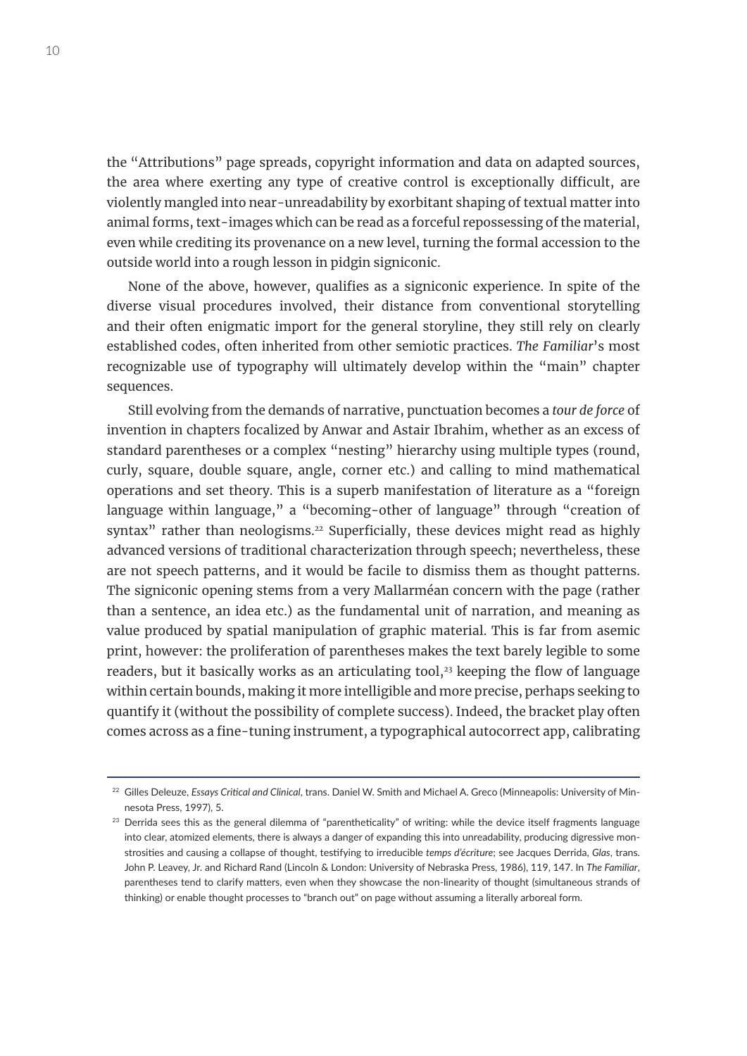the "Attributions" page spreads, copyright information and data on adapted sources, the area where exerting any type of creative control is exceptionally difficult, are violently mangled into near-unreadability by exorbitant shaping of textual matter into animal forms, text-images which can be read as a forceful repossessing of the material, even while crediting its provenance on a new level, turning the formal accession to the outside world into a rough lesson in pidgin signiconic.

None of the above, however, qualifies as a signiconic experience. In spite of the diverse visual procedures involved, their distance from conventional storytelling and their often enigmatic import for the general storyline, they still rely on clearly established codes, often inherited from other semiotic practices. *The Familiar*'s most recognizable use of typography will ultimately develop within the "main" chapter sequences.

Still evolving from the demands of narrative, punctuation becomes a *tour de force* of invention in chapters focalized by Anwar and Astair Ibrahim, whether as an excess of standard parentheses or a complex "nesting" hierarchy using multiple types (round, curly, square, double square, angle, corner etc.) and calling to mind mathematical operations and set theory. This is a superb manifestation of literature as a "foreign language within language," a "becoming-other of language" through "creation of syntax" rather than neologisms.<sup>22</sup> Superficially, these devices might read as highly advanced versions of traditional characterization through speech; nevertheless, these are not speech patterns, and it would be facile to dismiss them as thought patterns. The signiconic opening stems from a very Mallarméan concern with the page (rather than a sentence, an idea etc.) as the fundamental unit of narration, and meaning as value produced by spatial manipulation of graphic material. This is far from asemic print, however: the proliferation of parentheses makes the text barely legible to some readers, but it basically works as an articulating tool,<sup>23</sup> keeping the flow of language within certain bounds, making it more intelligible and more precise, perhaps seeking to quantify it (without the possibility of complete success). Indeed, the bracket play often comes across as a fine-tuning instrument, a typographical autocorrect app, calibrating

<sup>22</sup> Gilles Deleuze, *Essays Critical and Clinical*, trans. Daniel W. Smith and Michael A. Greco (Minneapolis: University of Minnesota Press, 1997), 5.

 $23$  Derrida sees this as the general dilemma of "parentheticality" of writing: while the device itself fragments language into clear, atomized elements, there is always a danger of expanding this into unreadability, producing digressive monstrosities and causing a collapse of thought, testifying to irreducible *temps d'écriture*; see Jacques Derrida, *Glas*, trans. John P. Leavey, Jr. and Richard Rand (Lincoln & London: University of Nebraska Press, 1986), 119, 147. In *The Familiar*, parentheses tend to clarify matters, even when they showcase the non-linearity of thought (simultaneous strands of thinking) or enable thought processes to "branch out" on page without assuming a literally arboreal form.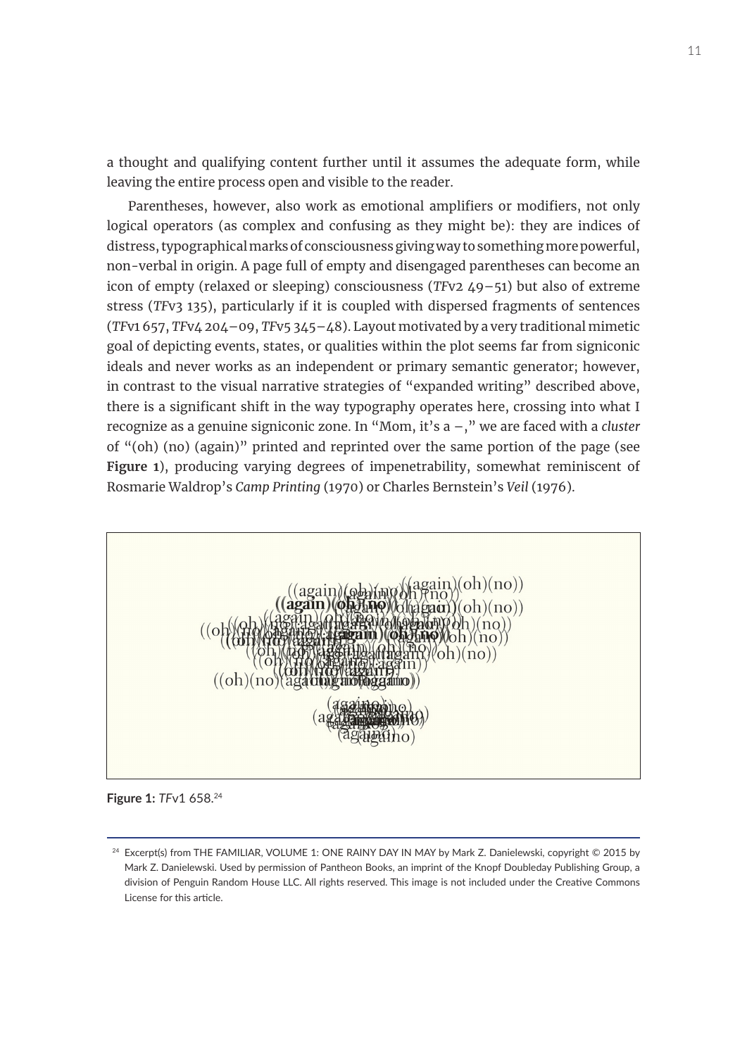a thought and qualifying content further until it assumes the adequate form, while leaving the entire process open and visible to the reader.

Parentheses, however, also work as emotional amplifiers or modifiers, not only logical operators (as complex and confusing as they might be): they are indices of distress, typographical marks of consciousness giving way to something more powerful, non-verbal in origin. A page full of empty and disengaged parentheses can become an icon of empty (relaxed or sleeping) consciousness (*TF*v2 49–51) but also of extreme stress (*TF*v3 135), particularly if it is coupled with dispersed fragments of sentences (*TF*v1 657, *TF*v4 204–09, *TF*v5 345–48). Layout motivated by a very traditional mimetic goal of depicting events, states, or qualities within the plot seems far from signiconic ideals and never works as an independent or primary semantic generator; however, in contrast to the visual narrative strategies of "expanded writing" described above, there is a significant shift in the way typography operates here, crossing into what I recognize as a genuine signiconic zone. In "Mom, it's a –," we are faced with a *cluster* of "(oh) (no) (again)" printed and reprinted over the same portion of the page (see **Figure 1**), producing varying degrees of impenetrability, somewhat reminiscent of Rosmarie Waldrop's *Camp Printing* (1970) or Charles Bernstein's *Veil* (1976).24



**Figure 1:** *TF*v1 658.24

<sup>24</sup> Excerpt(s) from THE FAMILIAR, VOLUME 1: ONE RAINY DAY IN MAY by Mark Z. Danielewski, copyright © 2015 by Mark Z. Danielewski. Used by permission of Pantheon Books, an imprint of the Knopf Doubleday Publishing Group, a division of Penguin Random House LLC. All rights reserved. This image is not included under the Creative Commons License for this article.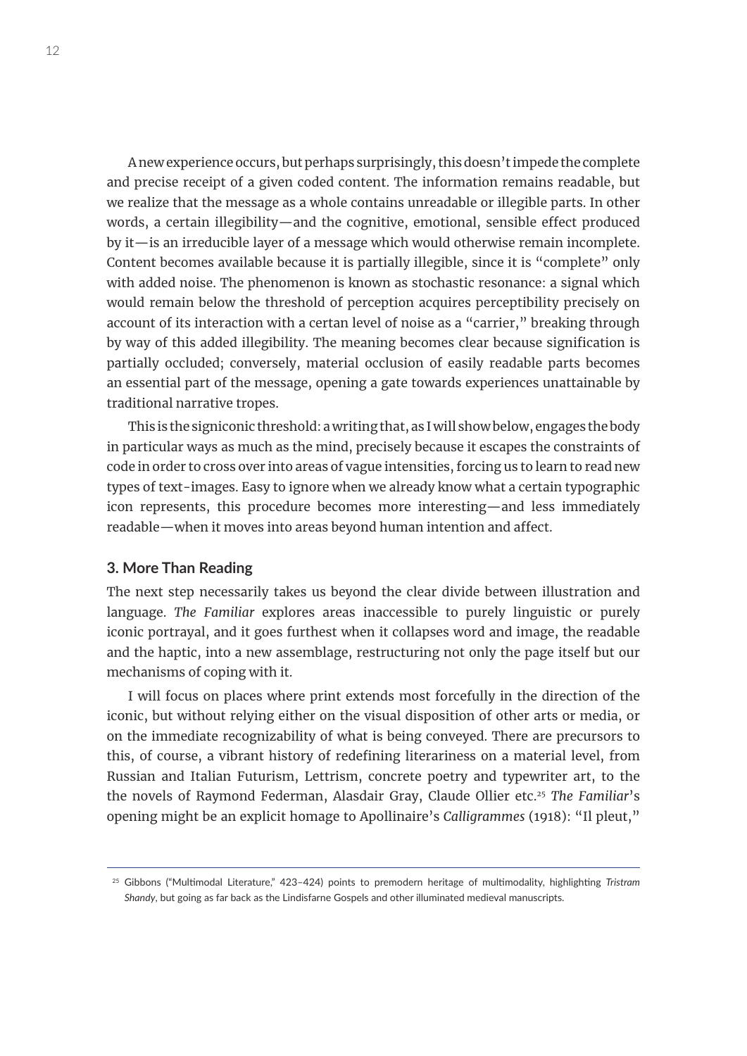A new experience occurs, but perhaps surprisingly, this doesn't impede the complete and precise receipt of a given coded content. The information remains readable, but we realize that the message as a whole contains unreadable or illegible parts. In other words, a certain illegibility—and the cognitive, emotional, sensible effect produced by it—is an irreducible layer of a message which would otherwise remain incomplete. Content becomes available because it is partially illegible, since it is "complete" only with added noise. The phenomenon is known as stochastic resonance: a signal which would remain below the threshold of perception acquires perceptibility precisely on account of its interaction with a certan level of noise as a "carrier," breaking through by way of this added illegibility. The meaning becomes clear because signification is partially occluded; conversely, material occlusion of easily readable parts becomes an essential part of the message, opening a gate towards experiences unattainable by traditional narrative tropes.

This is the signiconic threshold: a writing that, as I will show below, engages the body in particular ways as much as the mind, precisely because it escapes the constraints of code in order to cross over into areas of vague intensities, forcing us to learn to read new types of text-images. Easy to ignore when we already know what a certain typographic icon represents, this procedure becomes more interesting—and less immediately readable—when it moves into areas beyond human intention and affect.

### **3. More Than Reading**

The next step necessarily takes us beyond the clear divide between illustration and language. *The Familiar* explores areas inaccessible to purely linguistic or purely iconic portrayal, and it goes furthest when it collapses word and image, the readable and the haptic, into a new assemblage, restructuring not only the page itself but our mechanisms of coping with it.

I will focus on places where print extends most forcefully in the direction of the iconic, but without relying either on the visual disposition of other arts or media, or on the immediate recognizability of what is being conveyed. There are precursors to this, of course, a vibrant history of redefining literariness on a material level, from Russian and Italian Futurism, Lettrism, concrete poetry and typewriter art, to the the novels of Raymond Federman, Alasdair Gray, Claude Ollier etc.25 *The Familiar*'s opening might be an explicit homage to Apollinaire's *Calligrammes* (1918): "Il pleut,"

<sup>25</sup> Gibbons ("Multimodal Literature," 423–424) points to premodern heritage of multimodality, highlighting *Tristram Shandy*, but going as far back as the Lindisfarne Gospels and other illuminated medieval manuscripts.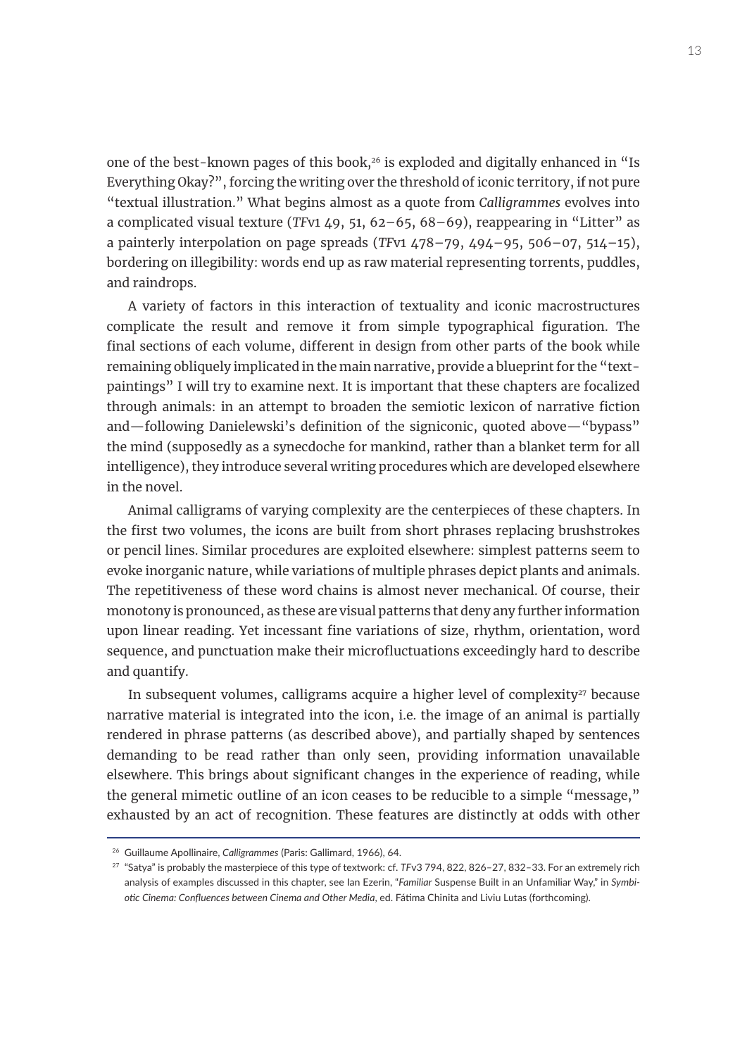one of the best-known pages of this book,<sup>26</sup> is exploded and digitally enhanced in "Is Everything Okay?", forcing the writing over the threshold of iconic territory, if not pure "textual illustration." What begins almost as a quote from *Calligrammes* evolves into a complicated visual texture (*TF*v1 49, 51, 62–65, 68–69), reappearing in "Litter" as a painterly interpolation on page spreads (*TF*v1 478–79, 494–95, 506–07, 514–15), bordering on illegibility: words end up as raw material representing torrents, puddles, and raindrops.

A variety of factors in this interaction of textuality and iconic macrostructures complicate the result and remove it from simple typographical figuration. The final sections of each volume, different in design from other parts of the book while remaining obliquely implicated in the main narrative, provide a blueprint for the "textpaintings" I will try to examine next. It is important that these chapters are focalized through animals: in an attempt to broaden the semiotic lexicon of narrative fiction and—following Danielewski's definition of the signiconic, quoted above—"bypass" the mind (supposedly as a synecdoche for mankind, rather than a blanket term for all intelligence), they introduce several writing procedures which are developed elsewhere in the novel.

Animal calligrams of varying complexity are the centerpieces of these chapters. In the first two volumes, the icons are built from short phrases replacing brushstrokes or pencil lines. Similar procedures are exploited elsewhere: simplest patterns seem to evoke inorganic nature, while variations of multiple phrases depict plants and animals. The repetitiveness of these word chains is almost never mechanical. Of course, their monotony is pronounced, as these are visual patterns that deny any further information upon linear reading. Yet incessant fine variations of size, rhythm, orientation, word sequence, and punctuation make their microfluctuations exceedingly hard to describe and quantify.

In subsequent volumes, calligrams acquire a higher level of complexity $27$  because narrative material is integrated into the icon, i.e. the image of an animal is partially rendered in phrase patterns (as described above), and partially shaped by sentences demanding to be read rather than only seen, providing information unavailable elsewhere. This brings about significant changes in the experience of reading, while the general mimetic outline of an icon ceases to be reducible to a simple "message," exhausted by an act of recognition. These features are distinctly at odds with other

<sup>26</sup> Guillaume Apollinaire, *Calligrammes* (Paris: Gallimard, 1966), 64.

<sup>27</sup> "Satya" is probably the masterpiece of this type of textwork: cf. *TF*v3 794, 822, 826–27, 832–33. For an extremely rich analysis of examples discussed in this chapter, see Ian Ezerin, "*Familiar* Suspense Built in an Unfamiliar Way," in *Symbiotic Cinema: Confluences between Cinema and Other Media*, ed. Fátima Chinita and Liviu Lutas (forthcoming).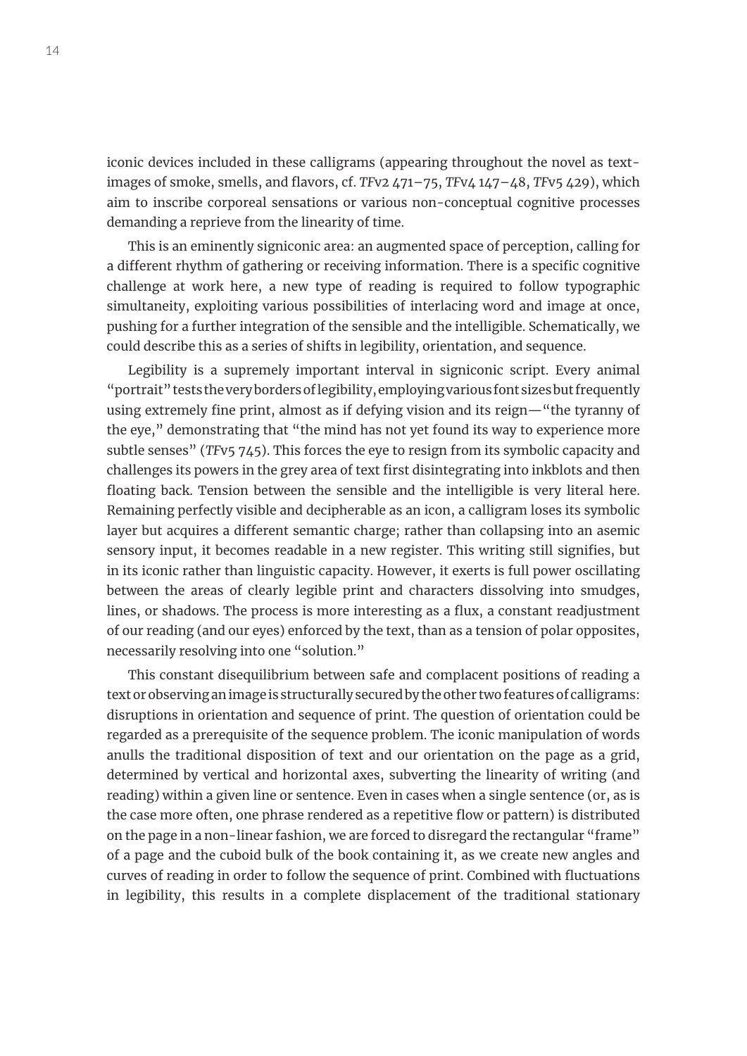iconic devices included in these calligrams (appearing throughout the novel as textimages of smoke, smells, and flavors, cf. *TF*v2 471–75, *TF*v4 147–48, *TF*v5 429), which aim to inscribe corporeal sensations or various non-conceptual cognitive processes demanding a reprieve from the linearity of time.

This is an eminently signiconic area: an augmented space of perception, calling for a different rhythm of gathering or receiving information. There is a specific cognitive challenge at work here, a new type of reading is required to follow typographic simultaneity, exploiting various possibilities of interlacing word and image at once, pushing for a further integration of the sensible and the intelligible. Schematically, we could describe this as a series of shifts in legibility, orientation, and sequence.

Legibility is a supremely important interval in signiconic script. Every animal "portrait" tests the very borders of legibility, employing various font sizes but frequently using extremely fine print, almost as if defying vision and its reign—"the tyranny of the eye," demonstrating that "the mind has not yet found its way to experience more subtle senses" (*TF*v5 745). This forces the eye to resign from its symbolic capacity and challenges its powers in the grey area of text first disintegrating into inkblots and then floating back. Tension between the sensible and the intelligible is very literal here. Remaining perfectly visible and decipherable as an icon, a calligram loses its symbolic layer but acquires a different semantic charge; rather than collapsing into an asemic sensory input, it becomes readable in a new register. This writing still signifies, but in its iconic rather than linguistic capacity. However, it exerts is full power oscillating between the areas of clearly legible print and characters dissolving into smudges, lines, or shadows. The process is more interesting as a flux, a constant readjustment of our reading (and our eyes) enforced by the text, than as a tension of polar opposites, necessarily resolving into one "solution."

This constant disequilibrium between safe and complacent positions of reading a text or observing an image is structurally secured by the other two features of calligrams: disruptions in orientation and sequence of print. The question of orientation could be regarded as a prerequisite of the sequence problem. The iconic manipulation of words anulls the traditional disposition of text and our orientation on the page as a grid, determined by vertical and horizontal axes, subverting the linearity of writing (and reading) within a given line or sentence. Even in cases when a single sentence (or, as is the case more often, one phrase rendered as a repetitive flow or pattern) is distributed on the page in a non-linear fashion, we are forced to disregard the rectangular "frame" of a page and the cuboid bulk of the book containing it, as we create new angles and curves of reading in order to follow the sequence of print. Combined with fluctuations in legibility, this results in a complete displacement of the traditional stationary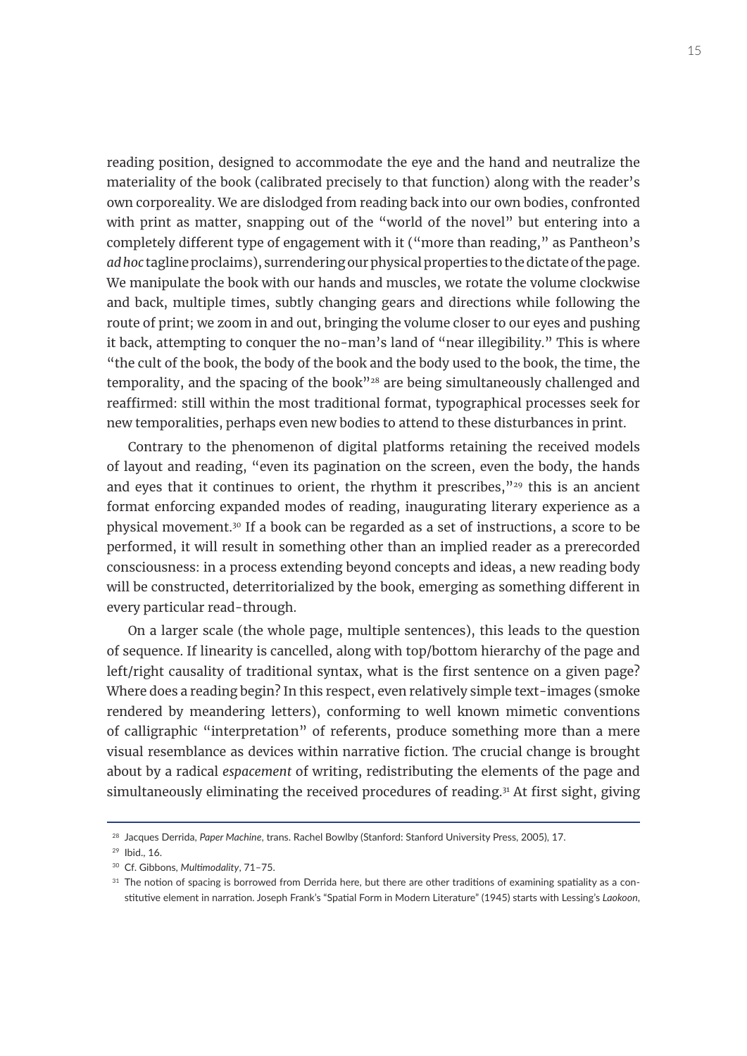reading position, designed to accommodate the eye and the hand and neutralize the materiality of the book (calibrated precisely to that function) along with the reader's own corporeality. We are dislodged from reading back into our own bodies, confronted with print as matter, snapping out of the "world of the novel" but entering into a completely different type of engagement with it ("more than reading," as Pantheon's *ad hoc* tagline proclaims), surrendering our physical properties to the dictate of the page. We manipulate the book with our hands and muscles, we rotate the volume clockwise and back, multiple times, subtly changing gears and directions while following the route of print; we zoom in and out, bringing the volume closer to our eyes and pushing it back, attempting to conquer the no-man's land of "near illegibility." This is where "the cult of the book, the body of the book and the body used to the book, the time, the temporality, and the spacing of the book"<sup>28</sup> are being simultaneously challenged and reaffirmed: still within the most traditional format, typographical processes seek for new temporalities, perhaps even new bodies to attend to these disturbances in print.

Contrary to the phenomenon of digital platforms retaining the received models of layout and reading, "even its pagination on the screen, even the body, the hands and eyes that it continues to orient, the rhythm it prescribes," $29$  this is an ancient format enforcing expanded modes of reading, inaugurating literary experience as a physical movement.30 If a book can be regarded as a set of instructions, a score to be performed, it will result in something other than an implied reader as a prerecorded consciousness: in a process extending beyond concepts and ideas, a new reading body will be constructed, deterritorialized by the book, emerging as something different in every particular read-through.

On a larger scale (the whole page, multiple sentences), this leads to the question of sequence. If linearity is cancelled, along with top/bottom hierarchy of the page and left/right causality of traditional syntax, what is the first sentence on a given page? Where does a reading begin? In this respect, even relatively simple text-images (smoke rendered by meandering letters), conforming to well known mimetic conventions of calligraphic "interpretation" of referents, produce something more than a mere visual resemblance as devices within narrative fiction. The crucial change is brought about by a radical *espacement* of writing, redistributing the elements of the page and simultaneously eliminating the received procedures of reading.<sup>31</sup> At first sight, giving

<sup>30</sup> Cf. Gibbons, *Multimodality*, 71–75.

<sup>28</sup> Jacques Derrida, *Paper Machine*, trans. Rachel Bowlby (Stanford: Stanford University Press, 2005), 17.

<sup>29</sup> Ibid., 16.

<sup>&</sup>lt;sup>31</sup> The notion of spacing is borrowed from Derrida here, but there are other traditions of examining spatiality as a constitutive element in narration. Joseph Frank's "Spatial Form in Modern Literature" (1945) starts with Lessing's *Laokoon*,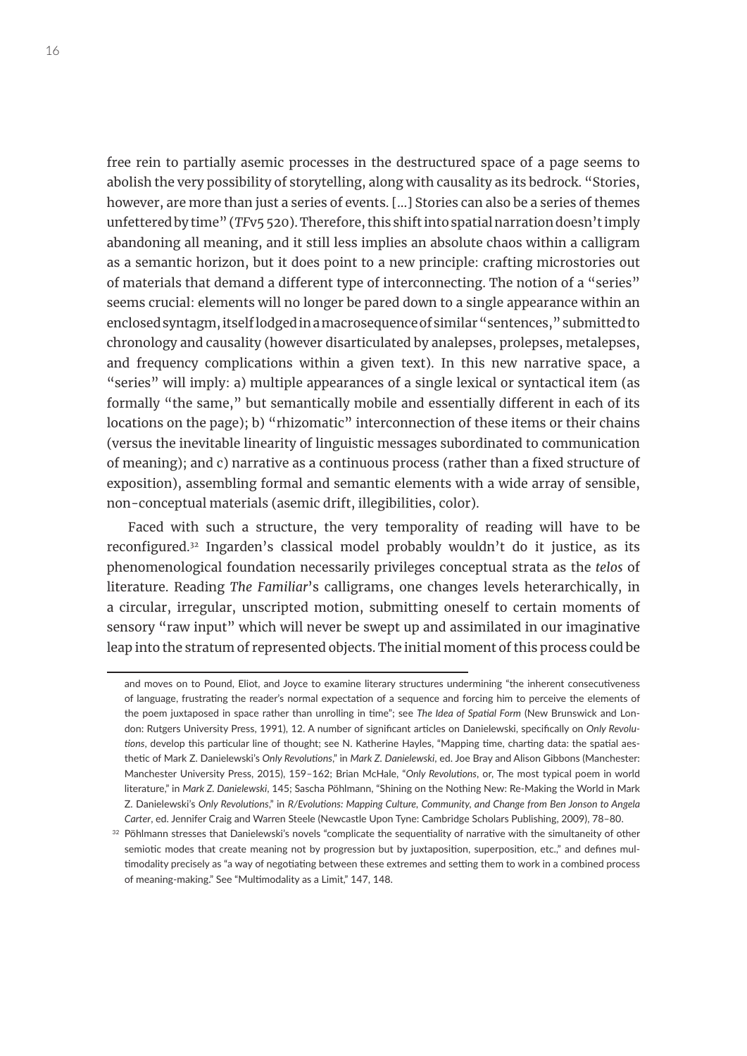free rein to partially asemic processes in the destructured space of a page seems to abolish the very possibility of storytelling, along with causality as its bedrock. "Stories, however, are more than just a series of events. [...] Stories can also be a series of themes unfettered by time" (*TF*v5 520). Therefore, this shift into spatial narration doesn't imply abandoning all meaning, and it still less implies an absolute chaos within a calligram as a semantic horizon, but it does point to a new principle: crafting microstories out of materials that demand a different type of interconnecting. The notion of a "series" seems crucial: elements will no longer be pared down to a single appearance within an enclosed syntagm, itself lodged in a macrosequence of similar "sentences," submitted to chronology and causality (however disarticulated by analepses, prolepses, metalepses, and frequency complications within a given text). In this new narrative space, a "series" will imply: a) multiple appearances of a single lexical or syntactical item (as formally "the same," but semantically mobile and essentially different in each of its locations on the page); b) "rhizomatic" interconnection of these items or their chains (versus the inevitable linearity of linguistic messages subordinated to communication of meaning); and c) narrative as a continuous process (rather than a fixed structure of exposition), assembling formal and semantic elements with a wide array of sensible, non-conceptual materials (asemic drift, illegibilities, color).

Faced with such a structure, the very temporality of reading will have to be reconfigured.32 Ingarden's classical model probably wouldn't do it justice, as its phenomenological foundation necessarily privileges conceptual strata as the *telos* of literature. Reading *The Familiar*'s calligrams, one changes levels heterarchically, in a circular, irregular, unscripted motion, submitting oneself to certain moments of sensory "raw input" which will never be swept up and assimilated in our imaginative leap into the stratum of represented objects. The initial moment of this process could be

and moves on to Pound, Eliot, and Joyce to examine literary structures undermining "the inherent consecutiveness of language, frustrating the reader's normal expectation of a sequence and forcing him to perceive the elements of the poem juxtaposed in space rather than unrolling in time"; see *The Idea of Spatial Form* (New Brunswick and London: Rutgers University Press, 1991), 12. A number of significant articles on Danielewski, specifically on *Only Revolutions*, develop this particular line of thought; see N. Katherine Hayles, "Mapping time, charting data: the spatial aesthetic of Mark Z. Danielewski's *Only Revolutions*," in *Mark Z. Danielewski*, ed. Joe Bray and Alison Gibbons (Manchester: Manchester University Press, 2015), 159–162; Brian McHale, "*Only Revolutions*, or, The most typical poem in world literature," in *Mark Z. Danielewski*, 145; Sascha Pöhlmann, "Shining on the Nothing New: Re-Making the World in Mark Z. Danielewski's *Only Revolutions*," in *R/Evolutions: Mapping Culture, Community, and Change from Ben Jonson to Angela Carter*, ed. Jennifer Craig and Warren Steele (Newcastle Upon Tyne: Cambridge Scholars Publishing, 2009), 78–80.

<sup>&</sup>lt;sup>32</sup> Pöhlmann stresses that Danielewski's novels "complicate the sequentiality of narrative with the simultaneity of other semiotic modes that create meaning not by progression but by juxtaposition, superposition, etc.," and defines multimodality precisely as "a way of negotiating between these extremes and setting them to work in a combined process of meaning-making." See "Multimodality as a Limit," 147, 148.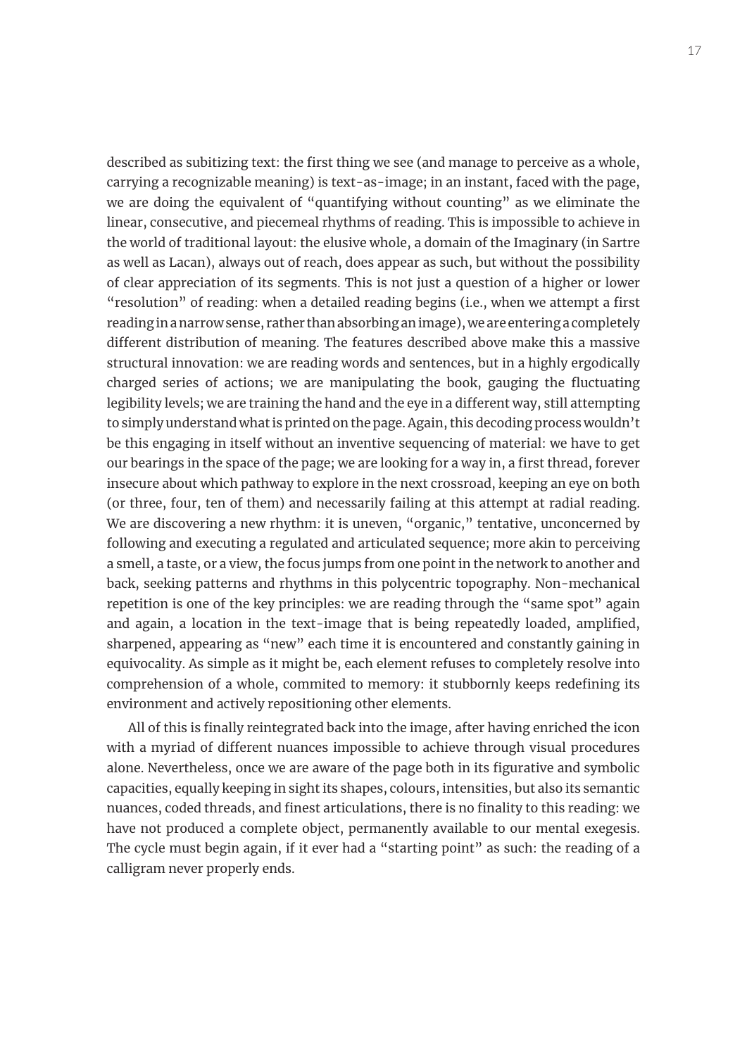described as subitizing text: the first thing we see (and manage to perceive as a whole, carrying a recognizable meaning) is text-as-image; in an instant, faced with the page, we are doing the equivalent of "quantifying without counting" as we eliminate the linear, consecutive, and piecemeal rhythms of reading. This is impossible to achieve in the world of traditional layout: the elusive whole, a domain of the Imaginary (in Sartre as well as Lacan), always out of reach, does appear as such, but without the possibility of clear appreciation of its segments. This is not just a question of a higher or lower "resolution" of reading: when a detailed reading begins (i.e., when we attempt a first reading in a narrow sense, rather than absorbing an image), we are entering a completely different distribution of meaning. The features described above make this a massive structural innovation: we are reading words and sentences, but in a highly ergodically charged series of actions; we are manipulating the book, gauging the fluctuating legibility levels; we are training the hand and the eye in a different way, still attempting to simply understand what is printed on the page. Again, this decoding process wouldn't be this engaging in itself without an inventive sequencing of material: we have to get our bearings in the space of the page; we are looking for a way in, a first thread, forever insecure about which pathway to explore in the next crossroad, keeping an eye on both (or three, four, ten of them) and necessarily failing at this attempt at radial reading. We are discovering a new rhythm: it is uneven, "organic," tentative, unconcerned by following and executing a regulated and articulated sequence; more akin to perceiving a smell, a taste, or a view, the focus jumps from one point in the network to another and back, seeking patterns and rhythms in this polycentric topography. Non-mechanical repetition is one of the key principles: we are reading through the "same spot" again and again, a location in the text-image that is being repeatedly loaded, amplified, sharpened, appearing as "new" each time it is encountered and constantly gaining in equivocality. As simple as it might be, each element refuses to completely resolve into comprehension of a whole, commited to memory: it stubbornly keeps redefining its environment and actively repositioning other elements.

All of this is finally reintegrated back into the image, after having enriched the icon with a myriad of different nuances impossible to achieve through visual procedures alone. Nevertheless, once we are aware of the page both in its figurative and symbolic capacities, equally keeping in sight its shapes, colours, intensities, but also its semantic nuances, coded threads, and finest articulations, there is no finality to this reading: we have not produced a complete object, permanently available to our mental exegesis. The cycle must begin again, if it ever had a "starting point" as such: the reading of a calligram never properly ends.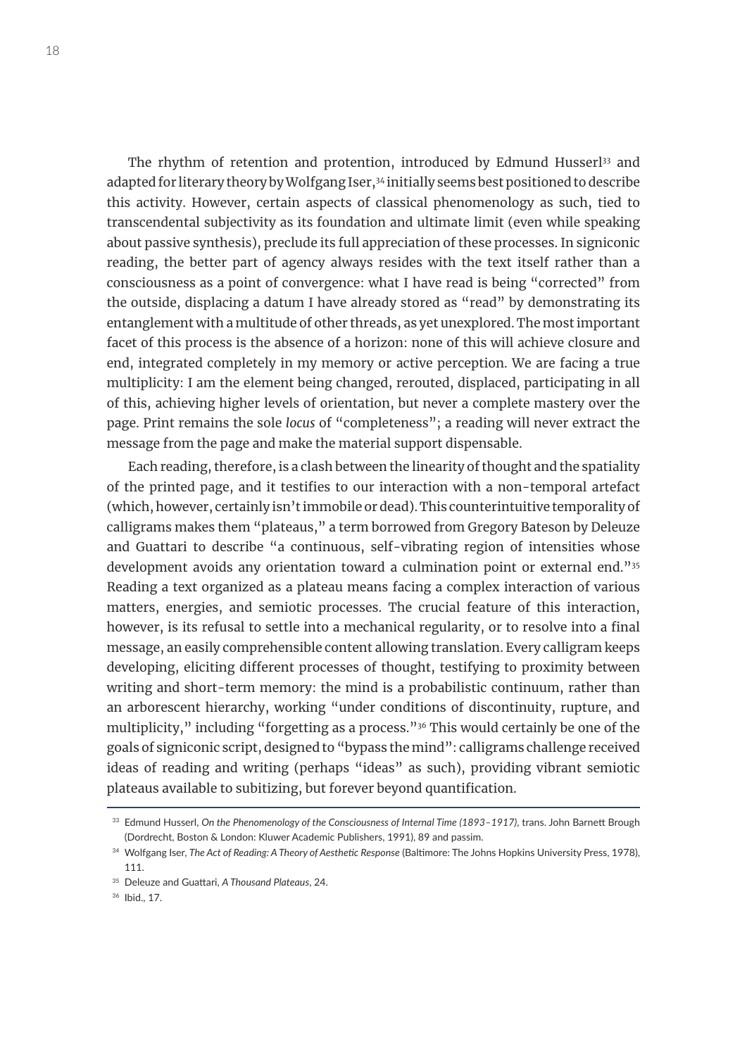The rhythm of retention and protention, introduced by Edmund Husserl<sup>33</sup> and adapted for literary theory by Wolfgang Iser,<sup>34</sup> initially seems best positioned to describe this activity. However, certain aspects of classical phenomenology as such, tied to transcendental subjectivity as its foundation and ultimate limit (even while speaking about passive synthesis), preclude its full appreciation of these processes. In signiconic reading, the better part of agency always resides with the text itself rather than a consciousness as a point of convergence: what I have read is being "corrected" from the outside, displacing a datum I have already stored as "read" by demonstrating its entanglement with a multitude of other threads, as yet unexplored. The most important facet of this process is the absence of a horizon: none of this will achieve closure and end, integrated completely in my memory or active perception. We are facing a true multiplicity: I am the element being changed, rerouted, displaced, participating in all of this, achieving higher levels of orientation, but never a complete mastery over the page. Print remains the sole *locus* of "completeness"; a reading will never extract the message from the page and make the material support dispensable.

Each reading, therefore, is a clash between the linearity of thought and the spatiality of the printed page, and it testifies to our interaction with a non-temporal artefact (which, however, certainly isn't immobile or dead). This counterintuitive temporality of calligrams makes them "plateaus," a term borrowed from Gregory Bateson by Deleuze and Guattari to describe "a continuous, self-vibrating region of intensities whose development avoids any orientation toward a culmination point or external end."35 Reading a text organized as a plateau means facing a complex interaction of various matters, energies, and semiotic processes. The crucial feature of this interaction, however, is its refusal to settle into a mechanical regularity, or to resolve into a final message, an easily comprehensible content allowing translation. Every calligram keeps developing, eliciting different processes of thought, testifying to proximity between writing and short-term memory: the mind is a probabilistic continuum, rather than an arborescent hierarchy, working "under conditions of discontinuity, rupture, and multiplicity," including "forgetting as a process."<sup>36</sup> This would certainly be one of the goals of signiconic script, designed to "bypass the mind": calligrams challenge received ideas of reading and writing (perhaps "ideas" as such), providing vibrant semiotic plateaus available to subitizing, but forever beyond quantification.

<sup>33</sup> Edmund Husserl, *On the Phenomenology of the Consciousness of Internal Time (1893–1917)*, trans. John Barnett Brough (Dordrecht, Boston & London: Kluwer Academic Publishers, 1991), 89 and passim.

<sup>34</sup> Wolfgang Iser, *The Act of Reading: A Theory of Aesthetic Response* (Baltimore: The Johns Hopkins University Press, 1978), 111.

<sup>35</sup> Deleuze and Guattari, *A Thousand Plateaus*, 24.

<sup>36</sup> Ibid., 17.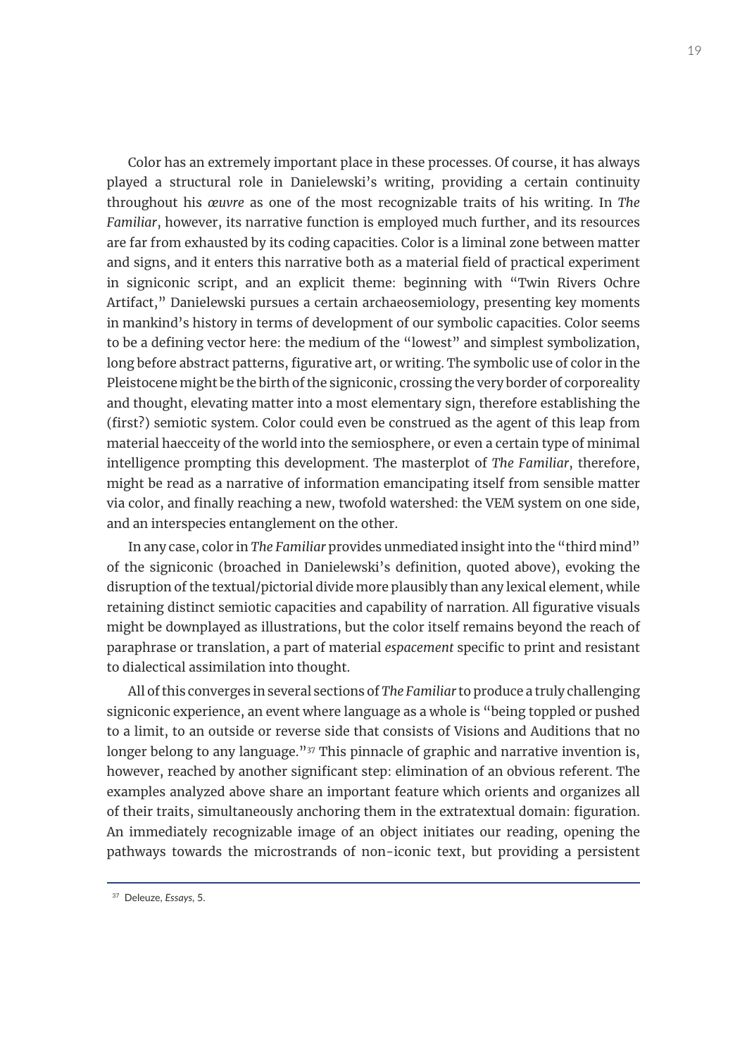Color has an extremely important place in these processes. Of course, it has always played a structural role in Danielewski's writing, providing a certain continuity throughout his *œuvre* as one of the most recognizable traits of his writing. In *The Familiar*, however, its narrative function is employed much further, and its resources are far from exhausted by its coding capacities. Color is a liminal zone between matter and signs, and it enters this narrative both as a material field of practical experiment in signiconic script, and an explicit theme: beginning with "Twin Rivers Ochre Artifact," Danielewski pursues a certain archaeosemiology, presenting key moments in mankind's history in terms of development of our symbolic capacities. Color seems to be a defining vector here: the medium of the "lowest" and simplest symbolization, long before abstract patterns, figurative art, or writing. The symbolic use of color in the Pleistocene might be the birth of the signiconic, crossing the very border of corporeality and thought, elevating matter into a most elementary sign, therefore establishing the (first?) semiotic system. Color could even be construed as the agent of this leap from material haecceity of the world into the semiosphere, or even a certain type of minimal intelligence prompting this development. The masterplot of *The Familiar*, therefore, might be read as a narrative of information emancipating itself from sensible matter via color, and finally reaching a new, twofold watershed: the VEM system on one side, and an interspecies entanglement on the other.

In any case, color in *The Familiar* provides unmediated insight into the "third mind" of the signiconic (broached in Danielewski's definition, quoted above), evoking the disruption of the textual/pictorial divide more plausibly than any lexical element, while retaining distinct semiotic capacities and capability of narration. All figurative visuals might be downplayed as illustrations, but the color itself remains beyond the reach of paraphrase or translation, a part of material *espacement* specific to print and resistant to dialectical assimilation into thought.

All of this converges in several sections of *The Familiar* to produce a truly challenging signiconic experience, an event where language as a whole is "being toppled or pushed to a limit, to an outside or reverse side that consists of Visions and Auditions that no longer belong to any language."<sup>37</sup> This pinnacle of graphic and narrative invention is, however, reached by another significant step: elimination of an obvious referent. The examples analyzed above share an important feature which orients and organizes all of their traits, simultaneously anchoring them in the extratextual domain: figuration. An immediately recognizable image of an object initiates our reading, opening the pathways towards the microstrands of non-iconic text, but providing a persistent

<sup>37</sup> Deleuze, *Essays*, 5.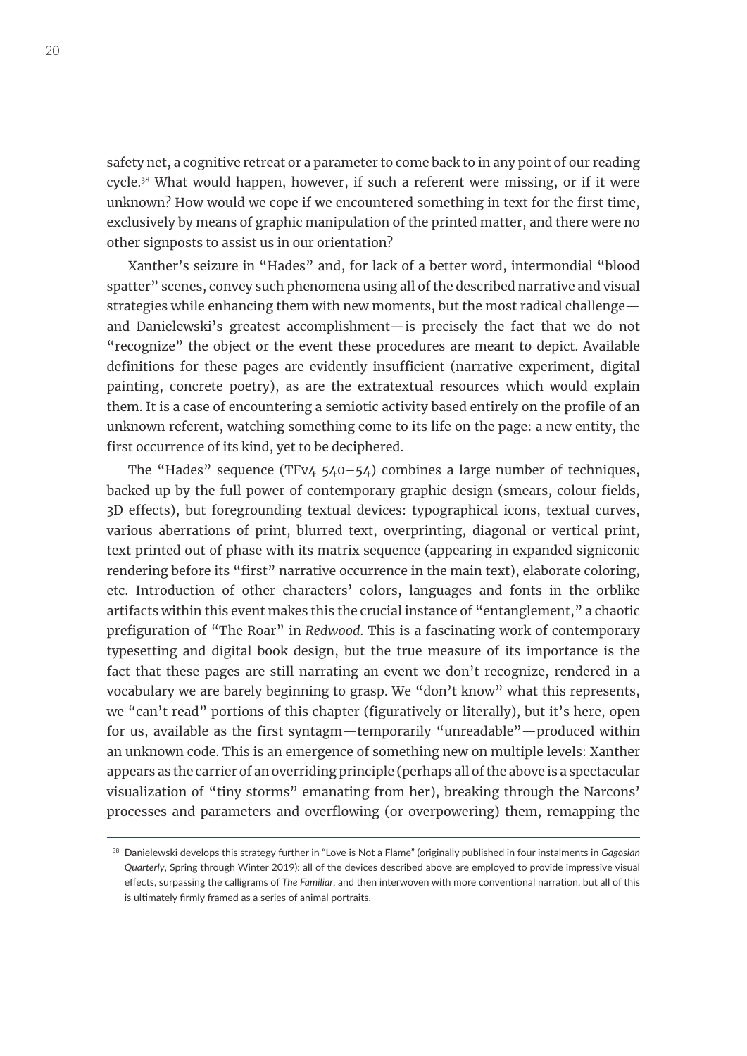safety net, a cognitive retreat or a parameter to come back to in any point of our reading cycle.38 What would happen, however, if such a referent were missing, or if it were unknown? How would we cope if we encountered something in text for the first time, exclusively by means of graphic manipulation of the printed matter, and there were no other signposts to assist us in our orientation?

Xanther's seizure in "Hades" and, for lack of a better word, intermondial "blood spatter" scenes, convey such phenomena using all of the described narrative and visual strategies while enhancing them with new moments, but the most radical challenge and Danielewski's greatest accomplishment—is precisely the fact that we do not "recognize" the object or the event these procedures are meant to depict. Available definitions for these pages are evidently insufficient (narrative experiment, digital painting, concrete poetry), as are the extratextual resources which would explain them. It is a case of encountering a semiotic activity based entirely on the profile of an unknown referent, watching something come to its life on the page: a new entity, the first occurrence of its kind, yet to be deciphered.

The "Hades" sequence (TFv4 540–54) combines a large number of techniques, backed up by the full power of contemporary graphic design (smears, colour fields, 3D effects), but foregrounding textual devices: typographical icons, textual curves, various aberrations of print, blurred text, overprinting, diagonal or vertical print, text printed out of phase with its matrix sequence (appearing in expanded signiconic rendering before its "first" narrative occurrence in the main text), elaborate coloring, etc. Introduction of other characters' colors, languages and fonts in the orblike artifacts within this event makes this the crucial instance of "entanglement," a chaotic prefiguration of "The Roar" in *Redwood*. This is a fascinating work of contemporary typesetting and digital book design, but the true measure of its importance is the fact that these pages are still narrating an event we don't recognize, rendered in a vocabulary we are barely beginning to grasp. We "don't know" what this represents, we "can't read" portions of this chapter (figuratively or literally), but it's here, open for us, available as the first syntagm—temporarily "unreadable"—produced within an unknown code. This is an emergence of something new on multiple levels: Xanther appears as the carrier of an overriding principle (perhaps all of the above is a spectacular visualization of "tiny storms" emanating from her), breaking through the Narcons' processes and parameters and overflowing (or overpowering) them, remapping the

<sup>38</sup> Danielewski develops this strategy further in "Love is Not a Flame" (originally published in four instalments in *Gagosian Quarterly*, Spring through Winter 2019): all of the devices described above are employed to provide impressive visual effects, surpassing the calligrams of *The Familiar*, and then interwoven with more conventional narration, but all of this is ultimately firmly framed as a series of animal portraits.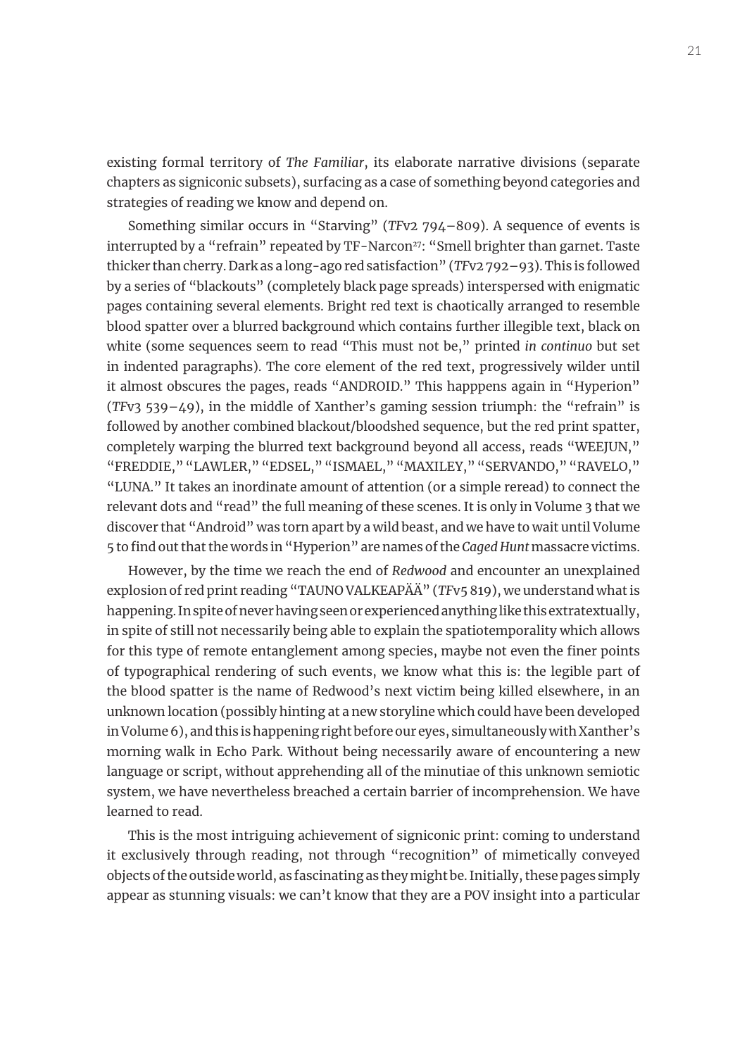existing formal territory of *The Familiar*, its elaborate narrative divisions (separate chapters as signiconic subsets), surfacing as a case of something beyond categories and strategies of reading we know and depend on.

Something similar occurs in "Starving" (*TF*v2 794–809). A sequence of events is interrupted by a "refrain" repeated by TF-Narcon<sup>27</sup>: "Smell brighter than garnet. Taste thicker than cherry. Dark as a long-ago red satisfaction" (*TF*v2 792–93). This is followed by a series of "blackouts" (completely black page spreads) interspersed with enigmatic pages containing several elements. Bright red text is chaotically arranged to resemble blood spatter over a blurred background which contains further illegible text, black on white (some sequences seem to read "This must not be," printed *in continuo* but set in indented paragraphs). The core element of the red text, progressively wilder until it almost obscures the pages, reads "ANDROID." This happpens again in "Hyperion" (*TF*v3 539–49), in the middle of Xanther's gaming session triumph: the "refrain" is followed by another combined blackout/bloodshed sequence, but the red print spatter, completely warping the blurred text background beyond all access, reads "WEEJUN," "FREDDIE," "LAWLER," "EDSEL," "ISMAEL," "MAXILEY," "SERVANDO," "RAVELO," "LUNA." It takes an inordinate amount of attention (or a simple reread) to connect the relevant dots and "read" the full meaning of these scenes. It is only in Volume 3 that we discover that "Android" was torn apart by a wild beast, and we have to wait until Volume 5 to find out that the words in "Hyperion" are names of the *Caged Hunt* massacre victims.

However, by the time we reach the end of *Redwood* and encounter an unexplained explosion of red print reading "TAUNO VALKEAPÄÄ" (*TF*v5 819), we understand what is happening. In spite of never having seen or experienced anything like this extratextually, in spite of still not necessarily being able to explain the spatiotemporality which allows for this type of remote entanglement among species, maybe not even the finer points of typographical rendering of such events, we know what this is: the legible part of the blood spatter is the name of Redwood's next victim being killed elsewhere, in an unknown location (possibly hinting at a new storyline which could have been developed in Volume 6), and this is happening right before our eyes, simultaneously with Xanther's morning walk in Echo Park. Without being necessarily aware of encountering a new language or script, without apprehending all of the minutiae of this unknown semiotic system, we have nevertheless breached a certain barrier of incomprehension. We have learned to read.

This is the most intriguing achievement of signiconic print: coming to understand it exclusively through reading, not through "recognition" of mimetically conveyed objects of the outside world, as fascinating as they might be. Initially, these pages simply appear as stunning visuals: we can't know that they are a POV insight into a particular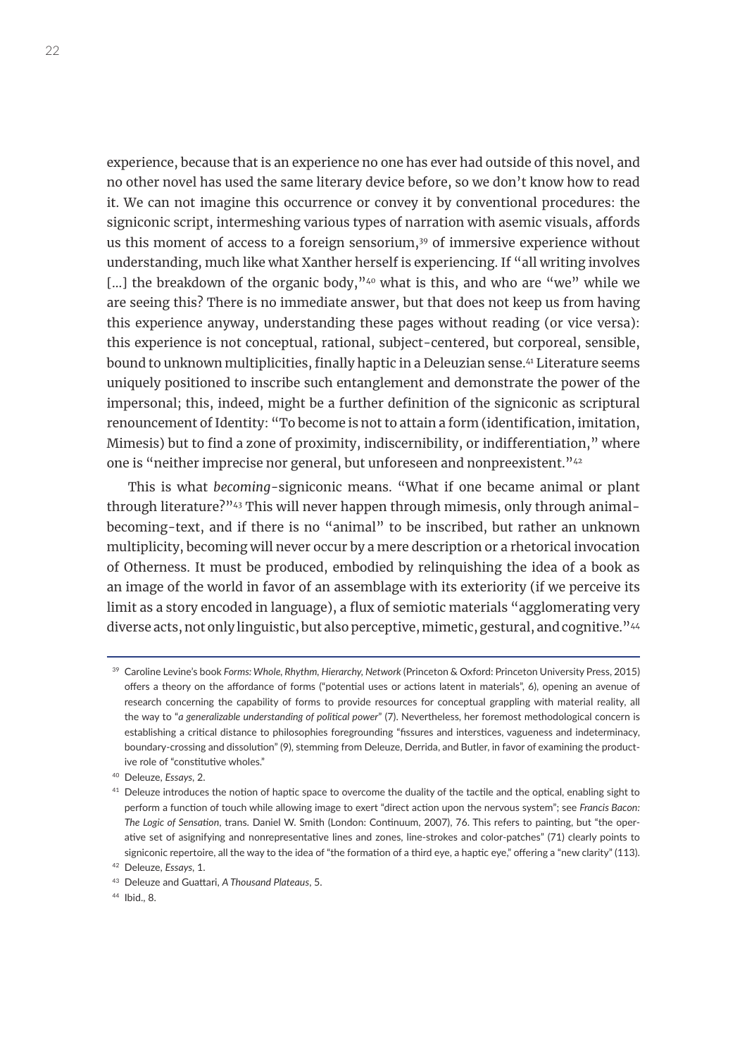experience, because that is an experience no one has ever had outside of this novel, and no other novel has used the same literary device before, so we don't know how to read it. We can not imagine this occurrence or convey it by conventional procedures: the signiconic script, intermeshing various types of narration with asemic visuals, affords us this moment of access to a foreign sensorium, $39$  of immersive experience without understanding, much like what Xanther herself is experiencing. If "all writing involves [...] the breakdown of the organic body,"<sup>40</sup> what is this, and who are "we" while we are seeing this? There is no immediate answer, but that does not keep us from having this experience anyway, understanding these pages without reading (or vice versa): this experience is not conceptual, rational, subject-centered, but corporeal, sensible, bound to unknown multiplicities, finally haptic in a Deleuzian sense.<sup>41</sup> Literature seems uniquely positioned to inscribe such entanglement and demonstrate the power of the impersonal; this, indeed, might be a further definition of the signiconic as scriptural renouncement of Identity: "To become is not to attain a form (identification, imitation, Mimesis) but to find a zone of proximity, indiscernibility, or indifferentiation," where one is "neither imprecise nor general, but unforeseen and nonpreexistent."<sup>42</sup>

This is what *becoming*-signiconic means. "What if one became animal or plant through literature?"<sup>43</sup> This will never happen through mimesis, only through animalbecoming-text, and if there is no "animal" to be inscribed, but rather an unknown multiplicity, becoming will never occur by a mere description or a rhetorical invocation of Otherness. It must be produced, embodied by relinquishing the idea of a book as an image of the world in favor of an assemblage with its exteriority (if we perceive its limit as a story encoded in language), a flux of semiotic materials "agglomerating very diverse acts, not only linguistic, but also perceptive, mimetic, gestural, and cognitive."<sup>44</sup>

<sup>39</sup> Caroline Levine's book *Forms: Whole, Rhythm, Hierarchy, Network* (Princeton & Oxford: Princeton University Press, 2015) offers a theory on the affordance of forms ("potential uses or actions latent in materials", 6), opening an avenue of research concerning the capability of forms to provide resources for conceptual grappling with material reality, all the way to "*a generalizable understanding of political power*" (7). Nevertheless, her foremost methodological concern is establishing a critical distance to philosophies foregrounding "fissures and interstices, vagueness and indeterminacy, boundary-crossing and dissolution" (9), stemming from Deleuze, Derrida, and Butler, in favor of examining the productive role of "constitutive wholes."

<sup>40</sup> Deleuze, *Essays*, 2.

<sup>&</sup>lt;sup>41</sup> Deleuze introduces the notion of haptic space to overcome the duality of the tactile and the optical, enabling sight to perform a function of touch while allowing image to exert "direct action upon the nervous system"; see *Francis Bacon: The Logic of Sensation*, trans. Daniel W. Smith (London: Continuum, 2007), 76. This refers to painting, but "the operative set of asignifying and nonrepresentative lines and zones, line-strokes and color-patches" (71) clearly points to signiconic repertoire, all the way to the idea of "the formation of a third eye, a haptic eye," offering a "new clarity" (113).

<sup>42</sup> Deleuze, *Essays*, 1.

<sup>43</sup> Deleuze and Guattari, *A Thousand Plateaus*, 5.

<sup>44</sup> Ibid., 8.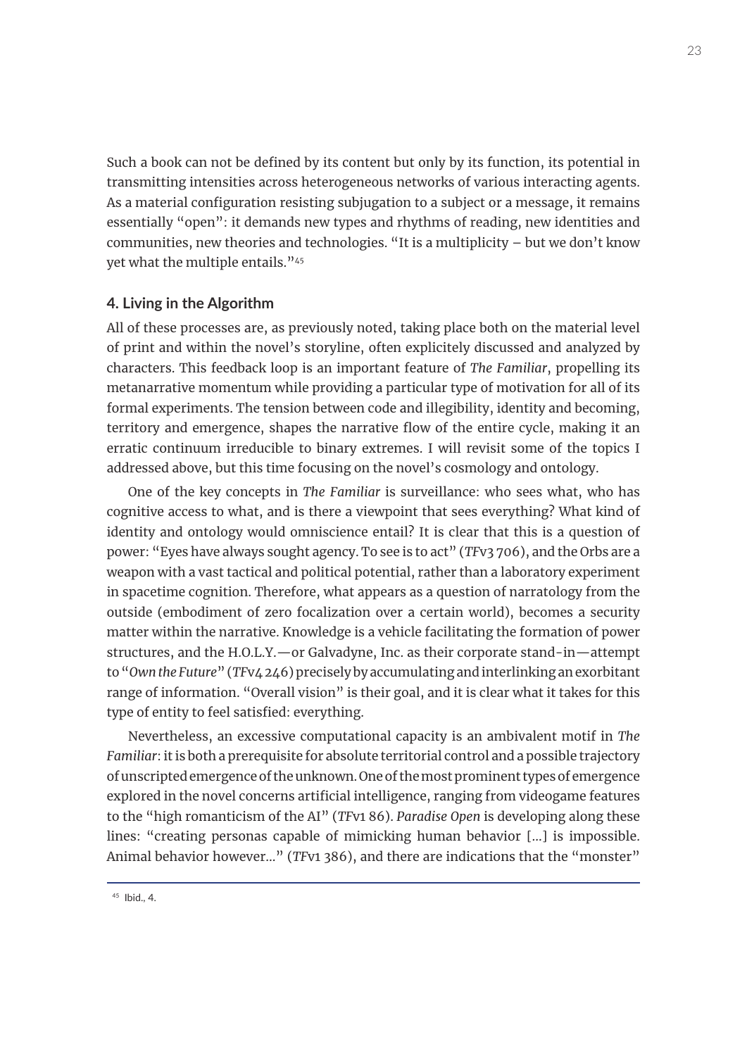Such a book can not be defined by its content but only by its function, its potential in transmitting intensities across heterogeneous networks of various interacting agents. As a material configuration resisting subjugation to a subject or a message, it remains essentially "open": it demands new types and rhythms of reading, new identities and communities, new theories and technologies. "It is a multiplicity – but we don't know yet what the multiple entails."45

#### **4. Living in the Algorithm**

All of these processes are, as previously noted, taking place both on the material level of print and within the novel's storyline, often explicitely discussed and analyzed by characters. This feedback loop is an important feature of *The Familiar*, propelling its metanarrative momentum while providing a particular type of motivation for all of its formal experiments. The tension between code and illegibility, identity and becoming, territory and emergence, shapes the narrative flow of the entire cycle, making it an erratic continuum irreducible to binary extremes. I will revisit some of the topics I addressed above, but this time focusing on the novel's cosmology and ontology.

One of the key concepts in *The Familiar* is surveillance: who sees what, who has cognitive access to what, and is there a viewpoint that sees everything? What kind of identity and ontology would omniscience entail? It is clear that this is a question of power: "Eyes have always sought agency. To see is to act" (*TF*v3 706), and the Orbs are a weapon with a vast tactical and political potential, rather than a laboratory experiment in spacetime cognition. Therefore, what appears as a question of narratology from the outside (embodiment of zero focalization over a certain world), becomes a security matter within the narrative. Knowledge is a vehicle facilitating the formation of power structures, and the H.O.L.Y.—or Galvadyne, Inc. as their corporate stand-in—attempt to "*Own the Future*" (*TF*v4 246) precisely by accumulating and interlinking an exorbitant range of information. "Overall vision" is their goal, and it is clear what it takes for this type of entity to feel satisfied: everything.

Nevertheless, an excessive computational capacity is an ambivalent motif in *The Familiar*: it is both a prerequisite for absolute territorial control and a possible trajectory of unscripted emergence of the unknown. One of the most prominent types of emergence explored in the novel concerns artificial intelligence, ranging from videogame features to the "high romanticism of the AI" (*TF*v1 86). *Paradise Open* is developing along these lines: "creating personas capable of mimicking human behavior [...] is impossible. Animal behavior however..." (*TF*v1 386), and there are indications that the "monster"

<sup>45</sup> Ibid., 4.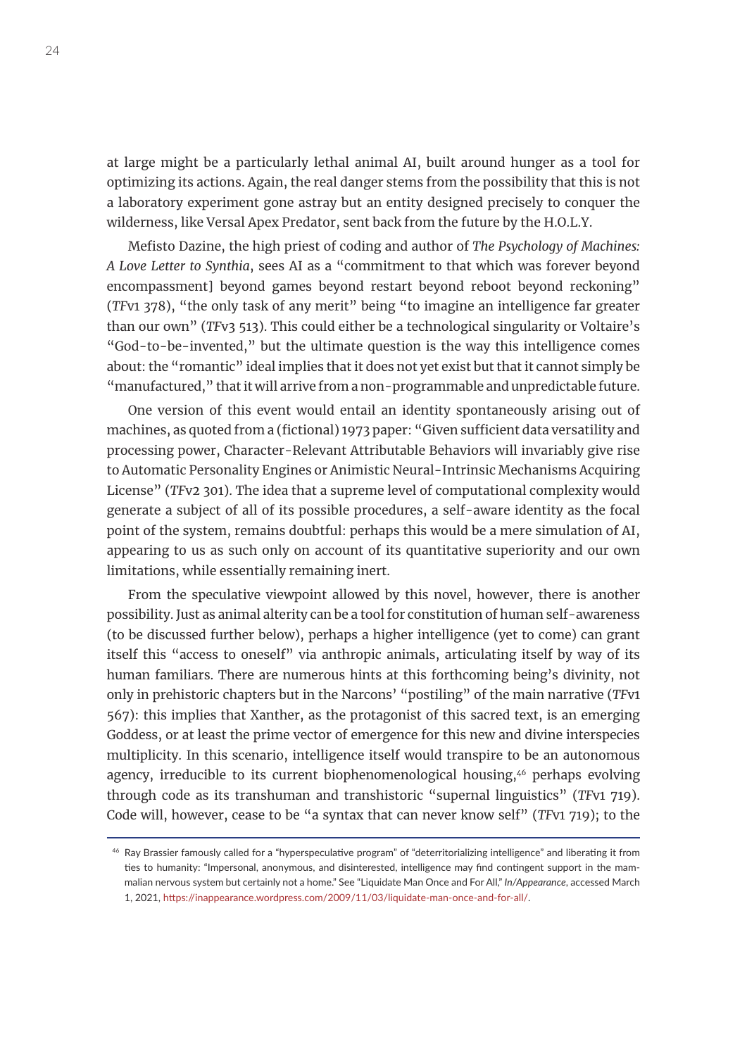at large might be a particularly lethal animal AI, built around hunger as a tool for optimizing its actions. Again, the real danger stems from the possibility that this is not a laboratory experiment gone astray but an entity designed precisely to conquer the wilderness, like Versal Apex Predator, sent back from the future by the H.O.L.Y.

Mefisto Dazine, the high priest of coding and author of *The Psychology of Machines: A Love Letter to Synthia*, sees AI as a "commitment to that which was forever beyond encompassment] beyond games beyond restart beyond reboot beyond reckoning" (*TF*v1 378), "the only task of any merit" being "to imagine an intelligence far greater than our own" (*TF*v3 513). This could either be a technological singularity or Voltaire's "God-to-be-invented," but the ultimate question is the way this intelligence comes about: the "romantic" ideal implies that it does not yet exist but that it cannot simply be "manufactured," that it will arrive from a non-programmable and unpredictable future.

One version of this event would entail an identity spontaneously arising out of machines, as quoted from a (fictional) 1973 paper: "Given sufficient data versatility and processing power, Character-Relevant Attributable Behaviors will invariably give rise to Automatic Personality Engines or Animistic Neural-Intrinsic Mechanisms Acquiring License" (*TF*v2 301). The idea that a supreme level of computational complexity would generate a subject of all of its possible procedures, a self-aware identity as the focal point of the system, remains doubtful: perhaps this would be a mere simulation of AI, appearing to us as such only on account of its quantitative superiority and our own limitations, while essentially remaining inert.

From the speculative viewpoint allowed by this novel, however, there is another possibility. Just as animal alterity can be a tool for constitution of human self-awareness (to be discussed further below), perhaps a higher intelligence (yet to come) can grant itself this "access to oneself" via anthropic animals, articulating itself by way of its human familiars. There are numerous hints at this forthcoming being's divinity, not only in prehistoric chapters but in the Narcons' "postiling" of the main narrative (*TF*v1 567): this implies that Xanther, as the protagonist of this sacred text, is an emerging Goddess, or at least the prime vector of emergence for this new and divine interspecies multiplicity. In this scenario, intelligence itself would transpire to be an autonomous agency, irreducible to its current biophenomenological housing,<sup>46</sup> perhaps evolving through code as its transhuman and transhistoric "supernal linguistics" (*TF*v1 719). Code will, however, cease to be "a syntax that can never know self" (*TF*v1 719); to the

<sup>46</sup> Ray Brassier famously called for a "hyperspeculative program" of "deterritorializing intelligence" and liberating it from ties to humanity: "Impersonal, anonymous, and disinterested, intelligence may find contingent support in the mammalian nervous system but certainly not a home." See "Liquidate Man Once and For All," *In/Appearance*, accessed March 1, 2021,<https://inappearance.wordpress.com/2009/11/03/liquidate-man-once-and-for-all/>.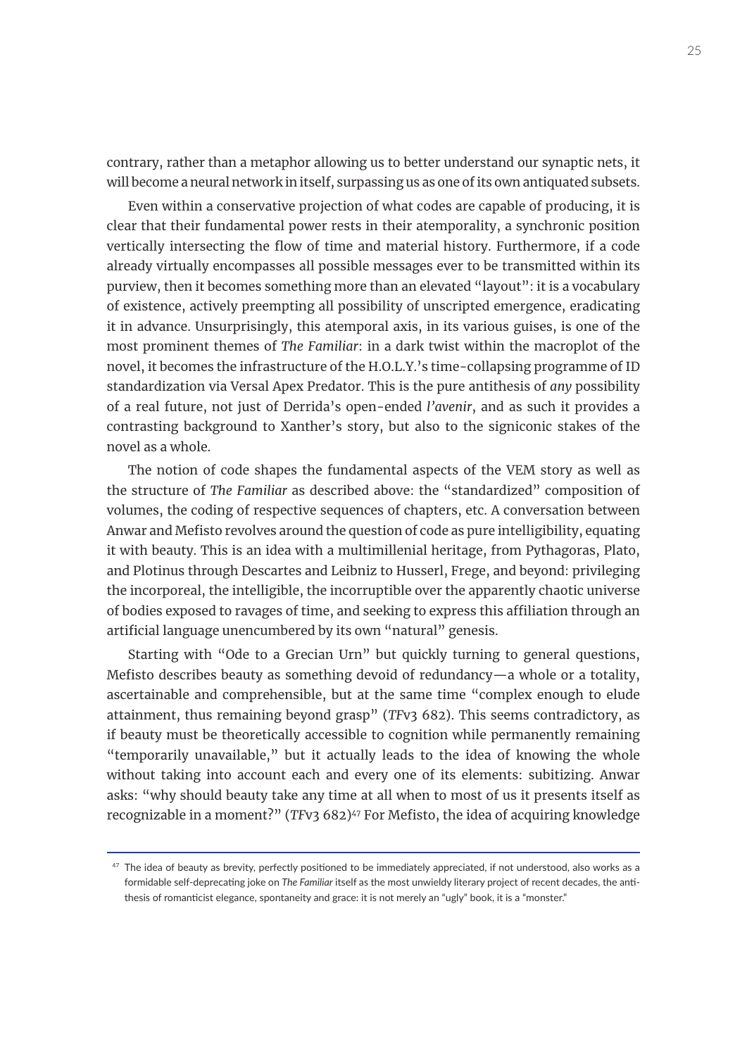contrary, rather than a metaphor allowing us to better understand our synaptic nets, it will become a neural network in itself, surpassing us as one of its own antiquated subsets.

Even within a conservative projection of what codes are capable of producing, it is clear that their fundamental power rests in their atemporality, a synchronic position vertically intersecting the flow of time and material history. Furthermore, if a code already virtually encompasses all possible messages ever to be transmitted within its purview, then it becomes something more than an elevated "layout": it is a vocabulary of existence, actively preempting all possibility of unscripted emergence, eradicating it in advance. Unsurprisingly, this atemporal axis, in its various guises, is one of the most prominent themes of *The Familiar*: in a dark twist within the macroplot of the novel, it becomes the infrastructure of the H.O.L.Y.'s time-collapsing programme of ID standardization via Versal Apex Predator. This is the pure antithesis of *any* possibility of a real future, not just of Derrida's open-ended *l'avenir*, and as such it provides a contrasting background to Xanther's story, but also to the signiconic stakes of the novel as a whole.

The notion of code shapes the fundamental aspects of the VEM story as well as the structure of *The Familiar* as described above: the "standardized" composition of volumes, the coding of respective sequences of chapters, etc. A conversation between Anwar and Mefisto revolves around the question of code as pure intelligibility, equating it with beauty. This is an idea with a multimillenial heritage, from Pythagoras, Plato, and Plotinus through Descartes and Leibniz to Husserl, Frege, and beyond: privileging the incorporeal, the intelligible, the incorruptible over the apparently chaotic universe of bodies exposed to ravages of time, and seeking to express this affiliation through an artificial language unencumbered by its own "natural" genesis.

Starting with "Ode to a Grecian Urn" but quickly turning to general questions, Mefisto describes beauty as something devoid of redundancy—a whole or a totality, ascertainable and comprehensible, but at the same time "complex enough to elude attainment, thus remaining beyond grasp" (*TF*v3 682). This seems contradictory, as if beauty must be theoretically accessible to cognition while permanently remaining "temporarily unavailable," but it actually leads to the idea of knowing the whole without taking into account each and every one of its elements: subitizing. Anwar asks: "why should beauty take any time at all when to most of us it presents itself as recognizable in a moment?" (*TFv3 682*)<sup>47</sup> For Mefisto, the idea of acquiring knowledge

 $47$  The idea of beauty as brevity, perfectly positioned to be immediately appreciated, if not understood, also works as a formidable self-deprecating joke on *The Familiar* itself as the most unwieldy literary project of recent decades, the antithesis of romanticist elegance, spontaneity and grace: it is not merely an "ugly" book, it is a "monster."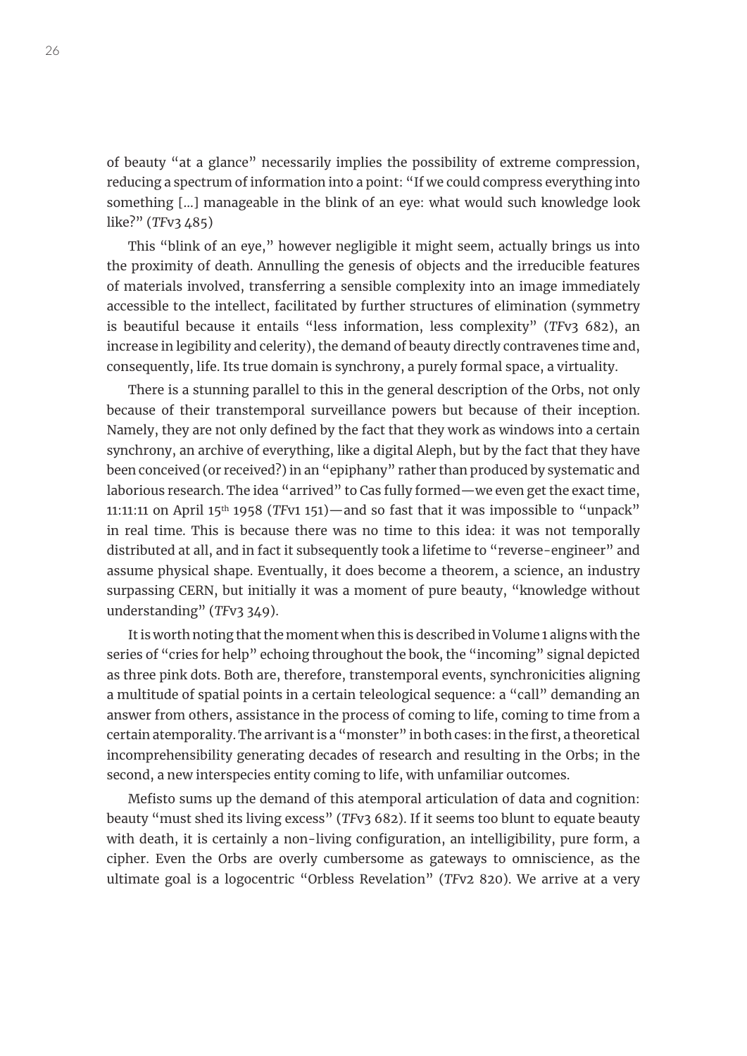of beauty "at a glance" necessarily implies the possibility of extreme compression, reducing a spectrum of information into a point: "If we could compress everything into something [...] manageable in the blink of an eye: what would such knowledge look like?" (*TF*v3 485)

This "blink of an eye," however negligible it might seem, actually brings us into the proximity of death. Annulling the genesis of objects and the irreducible features of materials involved, transferring a sensible complexity into an image immediately accessible to the intellect, facilitated by further structures of elimination (symmetry is beautiful because it entails "less information, less complexity" (*TF*v3 682), an increase in legibility and celerity), the demand of beauty directly contravenes time and, consequently, life. Its true domain is synchrony, a purely formal space, a virtuality.

There is a stunning parallel to this in the general description of the Orbs, not only because of their transtemporal surveillance powers but because of their inception. Namely, they are not only defined by the fact that they work as windows into a certain synchrony, an archive of everything, like a digital Aleph, but by the fact that they have been conceived (or received?) in an "epiphany" rather than produced by systematic and laborious research. The idea "arrived" to Cas fully formed—we even get the exact time, 11:11:11 on April 15th 1958 (*TF*v1 151)—and so fast that it was impossible to "unpack" in real time. This is because there was no time to this idea: it was not temporally distributed at all, and in fact it subsequently took a lifetime to "reverse-engineer" and assume physical shape. Eventually, it does become a theorem, a science, an industry surpassing CERN, but initially it was a moment of pure beauty, "knowledge without understanding" (*TF*v3 349).

It is worth noting that the moment when this is described in Volume 1 aligns with the series of "cries for help" echoing throughout the book, the "incoming" signal depicted as three pink dots. Both are, therefore, transtemporal events, synchronicities aligning a multitude of spatial points in a certain teleological sequence: a "call" demanding an answer from others, assistance in the process of coming to life, coming to time from a certain atemporality. The arrivant is a "monster" in both cases: in the first, a theoretical incomprehensibility generating decades of research and resulting in the Orbs; in the second, a new interspecies entity coming to life, with unfamiliar outcomes.

Mefisto sums up the demand of this atemporal articulation of data and cognition: beauty "must shed its living excess" (*TF*v3 682). If it seems too blunt to equate beauty with death, it is certainly a non-living configuration, an intelligibility, pure form, a cipher. Even the Orbs are overly cumbersome as gateways to omniscience, as the ultimate goal is a logocentric "Orbless Revelation" (*TF*v2 820). We arrive at a very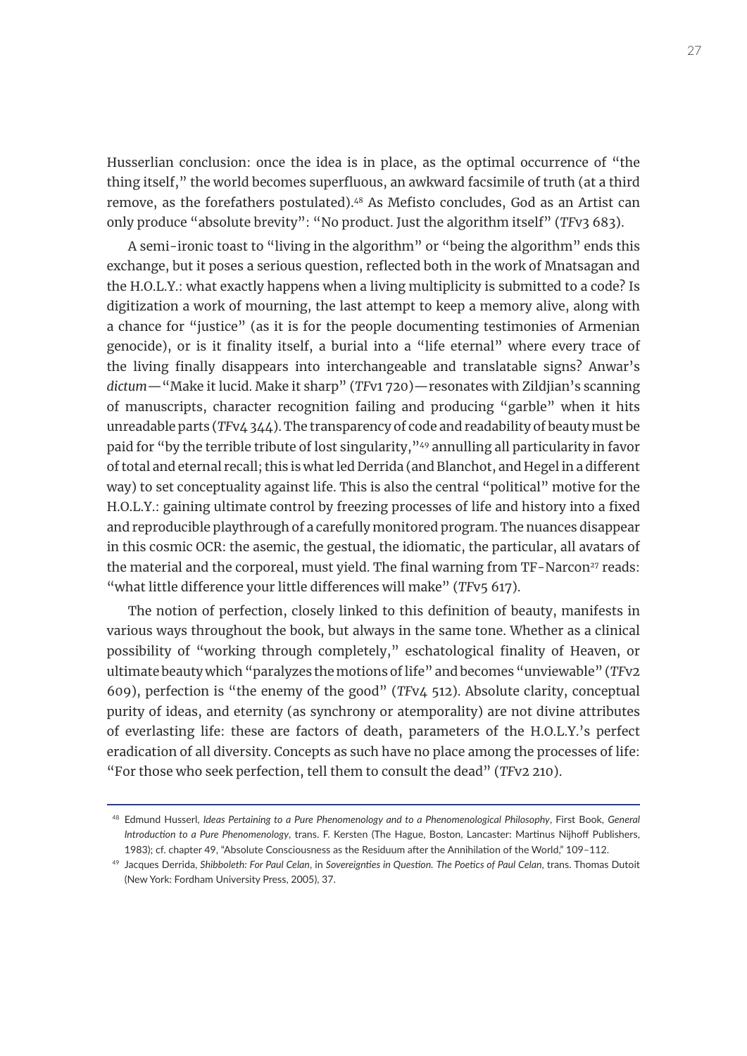Husserlian conclusion: once the idea is in place, as the optimal occurrence of "the thing itself," the world becomes superfluous, an awkward facsimile of truth (at a third remove, as the forefathers postulated).<sup>48</sup> As Mefisto concludes, God as an Artist can only produce "absolute brevity": "No product. Just the algorithm itself" (*TF*v3 683).

A semi-ironic toast to "living in the algorithm" or "being the algorithm" ends this exchange, but it poses a serious question, reflected both in the work of Mnatsagan and the H.O.L.Y.: what exactly happens when a living multiplicity is submitted to a code? Is digitization a work of mourning, the last attempt to keep a memory alive, along with a chance for "justice" (as it is for the people documenting testimonies of Armenian genocide), or is it finality itself, a burial into a "life eternal" where every trace of the living finally disappears into interchangeable and translatable signs? Anwar's *dictum*—"Make it lucid. Make it sharp" (*TF*v1 720)—resonates with Zildjian's scanning of manuscripts, character recognition failing and producing "garble" when it hits unreadable parts (*TF*v4 344). The transparency of code and readability of beauty must be paid for "by the terrible tribute of lost singularity,"49 annulling all particularity in favor of total and eternal recall; this is what led Derrida (and Blanchot, and Hegel in a different way) to set conceptuality against life. This is also the central "political" motive for the H.O.L.Y.: gaining ultimate control by freezing processes of life and history into a fixed and reproducible playthrough of a carefully monitored program. The nuances disappear in this cosmic OCR: the asemic, the gestual, the idiomatic, the particular, all avatars of the material and the corporeal, must yield. The final warning from TF-Narcon<sup>27</sup> reads: "what little difference your little differences will make" (*TF*v5 617).

The notion of perfection, closely linked to this definition of beauty, manifests in various ways throughout the book, but always in the same tone. Whether as a clinical possibility of "working through completely," eschatological finality of Heaven, or ultimate beauty which "paralyzes the motions of life" and becomes "unviewable" (*TF*v2 609), perfection is "the enemy of the good" (*TF*v4 512). Absolute clarity, conceptual purity of ideas, and eternity (as synchrony or atemporality) are not divine attributes of everlasting life: these are factors of death, parameters of the H.O.L.Y.'s perfect eradication of all diversity. Concepts as such have no place among the processes of life: "For those who seek perfection, tell them to consult the dead" (*TF*v2 210).

<sup>48</sup> Edmund Husserl, *Ideas Pertaining to a Pure Phenomenology and to a Phenomenological Philosophy*, First Book, *General Introduction to a Pure Phenomenology*, trans. F. Kersten (The Hague, Boston, Lancaster: Martinus Nijhoff Publishers, 1983); cf. chapter 49, "Absolute Consciousness as the Residuum after the Annihilation of the World," 109–112.

<sup>49</sup> Jacques Derrida, *Shibboleth: For Paul Celan*, in *Sovereignties in Question. The Poetics of Paul Celan*, trans. Thomas Dutoit (New York: Fordham University Press, 2005), 37.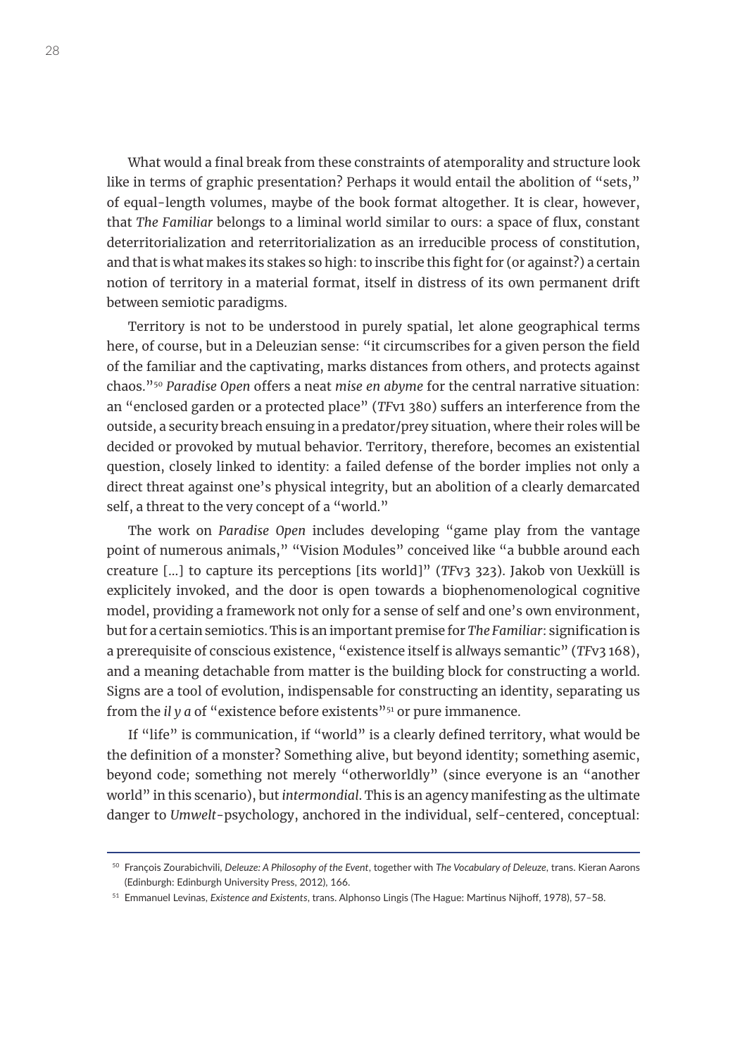What would a final break from these constraints of atemporality and structure look like in terms of graphic presentation? Perhaps it would entail the abolition of "sets," of equal-length volumes, maybe of the book format altogether. It is clear, however, that *The Familiar* belongs to a liminal world similar to ours: a space of flux, constant deterritorialization and reterritorialization as an irreducible process of constitution, and that is what makes its stakes so high: to inscribe this fight for (or against?) a certain notion of territory in a material format, itself in distress of its own permanent drift between semiotic paradigms.

Territory is not to be understood in purely spatial, let alone geographical terms here, of course, but in a Deleuzian sense: "it circumscribes for a given person the field of the familiar and the captivating, marks distances from others, and protects against chaos."50 *Paradise Open* offers a neat *mise en abyme* for the central narrative situation: an "enclosed garden or a protected place" (*TF*v1 380) suffers an interference from the outside, a security breach ensuing in a predator/prey situation, where their roles will be decided or provoked by mutual behavior. Territory, therefore, becomes an existential question, closely linked to identity: a failed defense of the border implies not only a direct threat against one's physical integrity, but an abolition of a clearly demarcated self, a threat to the very concept of a "world."

The work on *Paradise Open* includes developing "game play from the vantage point of numerous animals," "Vision Modules" conceived like "a bubble around each creature [...] to capture its perceptions [its world]" (*TF*v3 323). Jakob von Uexküll is explicitely invoked, and the door is open towards a biophenomenological cognitive model, providing a framework not only for a sense of self and one's own environment, but for a certain semiotics. This is an important premise for *The Familiar*: signification is a prerequisite of conscious existence, "existence itself is al*l*ways semantic" (*TF*v3 168), and a meaning detachable from matter is the building block for constructing a world. Signs are a tool of evolution, indispensable for constructing an identity, separating us from the *il* y *a* of "existence before existents"<sup>51</sup> or pure immanence.

If "life" is communication, if "world" is a clearly defined territory, what would be the definition of a monster? Something alive, but beyond identity; something asemic, beyond code; something not merely "otherworldly" (since everyone is an "another world" in this scenario), but *intermondial*. This is an agency manifesting as the ultimate danger to *Umwelt*-psychology, anchored in the individual, self-centered, conceptual:

<sup>50</sup> François Zourabichvili, *Deleuze: A Philosophy of the Event*, together with *The Vocabulary of Deleuze*, trans. Kieran Aarons (Edinburgh: Edinburgh University Press, 2012), 166.

<sup>51</sup> Emmanuel Levinas, *Existence and Existents*, trans. Alphonso Lingis (The Hague: Martinus Nijhoff, 1978), 57–58.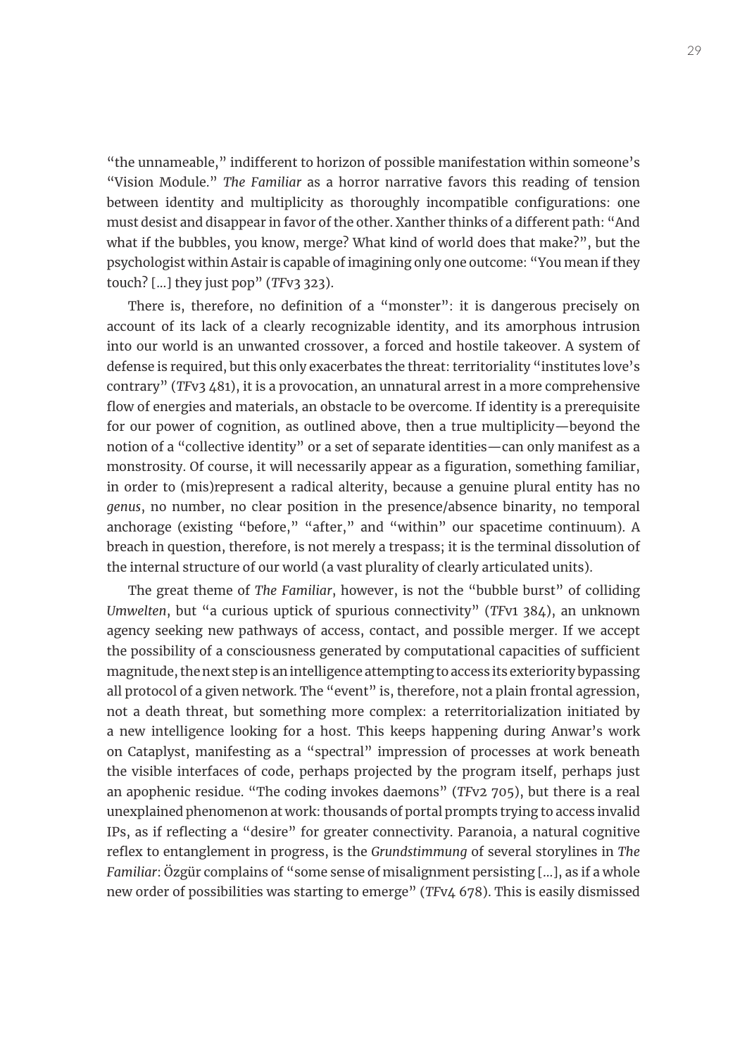"the unnameable," indifferent to horizon of possible manifestation within someone's "Vision Module." *The Familiar* as a horror narrative favors this reading of tension between identity and multiplicity as thoroughly incompatible configurations: one must desist and disappear in favor of the other. Xanther thinks of a different path: "And what if the bubbles, you know, merge? What kind of world does that make?", but the psychologist within Astair is capable of imagining only one outcome: "You mean if they touch? [...] they just pop" (*TF*v3 323).

There is, therefore, no definition of a "monster": it is dangerous precisely on account of its lack of a clearly recognizable identity, and its amorphous intrusion into our world is an unwanted crossover, a forced and hostile takeover. A system of defense is required, but this only exacerbates the threat: territoriality "institutes love's contrary" (*TF*v3 481), it is a provocation, an unnatural arrest in a more comprehensive flow of energies and materials, an obstacle to be overcome. If identity is a prerequisite for our power of cognition, as outlined above, then a true multiplicity—beyond the notion of a "collective identity" or a set of separate identities—can only manifest as a monstrosity. Of course, it will necessarily appear as a figuration, something familiar, in order to (mis)represent a radical alterity, because a genuine plural entity has no *genus*, no number, no clear position in the presence/absence binarity, no temporal anchorage (existing "before," "after," and "within" our spacetime continuum). A breach in question, therefore, is not merely a trespass; it is the terminal dissolution of the internal structure of our world (a vast plurality of clearly articulated units).

The great theme of *The Familiar*, however, is not the "bubble burst" of colliding *Umwelten*, but "a curious uptick of spurious connectivity" (*TF*v1 384), an unknown agency seeking new pathways of access, contact, and possible merger. If we accept the possibility of a consciousness generated by computational capacities of sufficient magnitude, the next step is an intelligence attempting to access its exteriority bypassing all protocol of a given network. The "event" is, therefore, not a plain frontal agression, not a death threat, but something more complex: a reterritorialization initiated by a new intelligence looking for a host. This keeps happening during Anwar's work on Cataplyst, manifesting as a "spectral" impression of processes at work beneath the visible interfaces of code, perhaps projected by the program itself, perhaps just an apophenic residue. "The coding invokes daemons" (*TF*v2 705), but there is a real unexplained phenomenon at work: thousands of portal prompts trying to access invalid IPs, as if reflecting a "desire" for greater connectivity. Paranoia, a natural cognitive reflex to entanglement in progress, is the *Grundstimmung* of several storylines in *The Familiar*: Özgür complains of "some sense of misalignment persisting [...], as if a whole new order of possibilities was starting to emerge" (*TF*v4 678). This is easily dismissed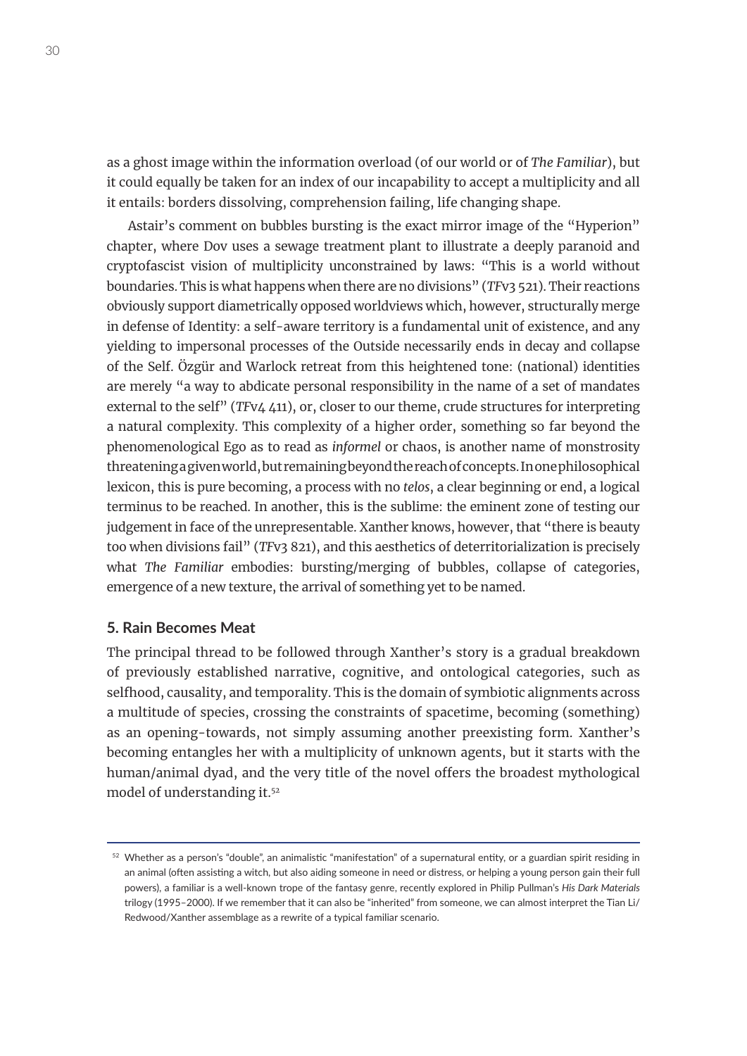as a ghost image within the information overload (of our world or of *The Familiar*), but it could equally be taken for an index of our incapability to accept a multiplicity and all it entails: borders dissolving, comprehension failing, life changing shape.

Astair's comment on bubbles bursting is the exact mirror image of the "Hyperion" chapter, where Dov uses a sewage treatment plant to illustrate a deeply paranoid and cryptofascist vision of multiplicity unconstrained by laws: "This is a world without boundaries. This is what happens when there are no divisions" (*TF*v3 521). Their reactions obviously support diametrically opposed worldviews which, however, structurally merge in defense of Identity: a self-aware territory is a fundamental unit of existence, and any yielding to impersonal processes of the Outside necessarily ends in decay and collapse of the Self. Özgür and Warlock retreat from this heightened tone: (national) identities are merely "a way to abdicate personal responsibility in the name of a set of mandates external to the self<sup>"</sup> (*TFv4 4*11), or, closer to our theme, crude structures for interpreting a natural complexity. This complexity of a higher order, something so far beyond the phenomenological Ego as to read as *informel* or chaos, is another name of monstrosity threatening a given world, but remaining beyond the reach of concepts. In one philosophical lexicon, this is pure becoming, a process with no *telos*, a clear beginning or end, a logical terminus to be reached. In another, this is the sublime: the eminent zone of testing our judgement in face of the unrepresentable. Xanther knows, however, that "there is beauty too when divisions fail" (*TF*v3 821), and this aesthetics of deterritorialization is precisely what *The Familiar* embodies: bursting/merging of bubbles, collapse of categories, emergence of a new texture, the arrival of something yet to be named.

## **5. Rain Becomes Meat**

The principal thread to be followed through Xanther's story is a gradual breakdown of previously established narrative, cognitive, and ontological categories, such as selfhood, causality, and temporality. This is the domain of symbiotic alignments across a multitude of species, crossing the constraints of spacetime, becoming (something) as an opening-towards, not simply assuming another preexisting form. Xanther's becoming entangles her with a multiplicity of unknown agents, but it starts with the human/animal dyad, and the very title of the novel offers the broadest mythological model of understanding it.52

<sup>52</sup> Whether as a person's "double", an animalistic "manifestation" of a supernatural entity, or a guardian spirit residing in an animal (often assisting a witch, but also aiding someone in need or distress, or helping a young person gain their full powers), a familiar is a well-known trope of the fantasy genre, recently explored in Philip Pullman's *His Dark Materials* trilogy (1995–2000). If we remember that it can also be "inherited" from someone, we can almost interpret the Tian Li/ Redwood/Xanther assemblage as a rewrite of a typical familiar scenario.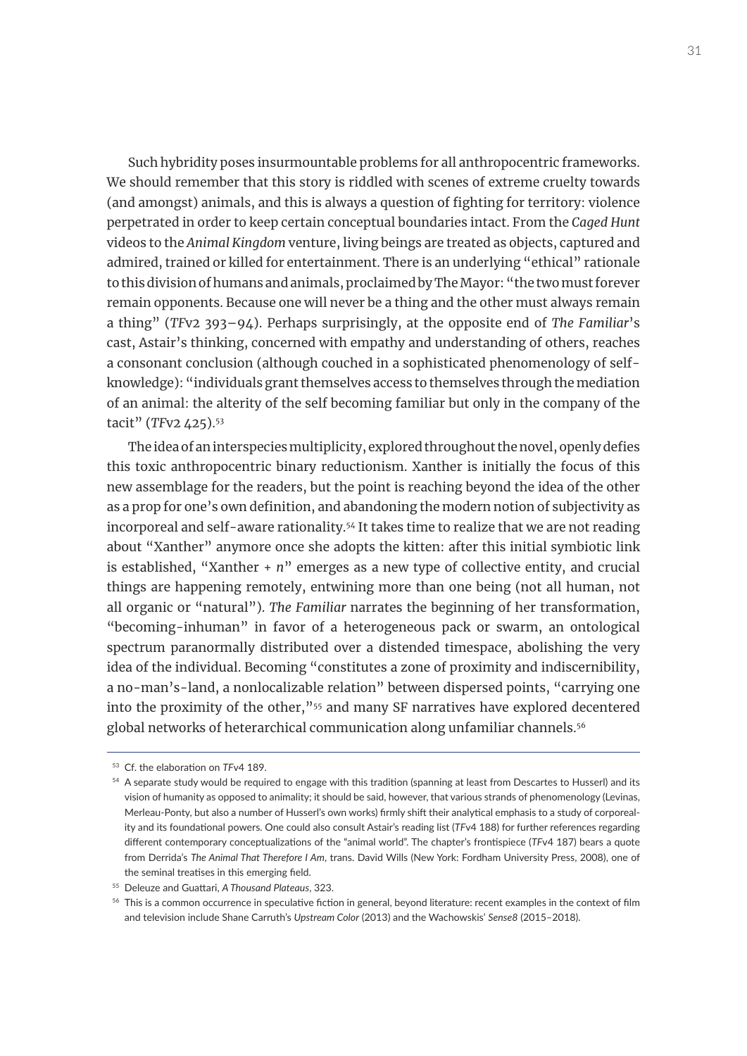Such hybridity poses insurmountable problems for all anthropocentric frameworks. We should remember that this story is riddled with scenes of extreme cruelty towards (and amongst) animals, and this is always a question of fighting for territory: violence perpetrated in order to keep certain conceptual boundaries intact. From the *Caged Hunt* videos to the *Animal Kingdom* venture, living beings are treated as objects, captured and admired, trained or killed for entertainment. There is an underlying "ethical" rationale to this division of humans and animals, proclaimed by The Mayor: "the two must forever remain opponents. Because one will never be a thing and the other must always remain a thing" (*TF*v2 393–94). Perhaps surprisingly, at the opposite end of *The Familiar*'s cast, Astair's thinking, concerned with empathy and understanding of others, reaches a consonant conclusion (although couched in a sophisticated phenomenology of selfknowledge): "individuals grant themselves access to themselves through the mediation of an animal: the alterity of the self becoming familiar but only in the company of the tacit" (*TF*v2 425).53

The idea of an interspecies multiplicity, explored throughout the novel, openly defies this toxic anthropocentric binary reductionism. Xanther is initially the focus of this new assemblage for the readers, but the point is reaching beyond the idea of the other as a prop for one's own definition, and abandoning the modern notion of subjectivity as incorporeal and self-aware rationality.<sup>54</sup> It takes time to realize that we are not reading about "Xanther" anymore once she adopts the kitten: after this initial symbiotic link is established, "Xanther + *n*" emerges as a new type of collective entity, and crucial things are happening remotely, entwining more than one being (not all human, not all organic or "natural"). *The Familiar* narrates the beginning of her transformation, "becoming-inhuman" in favor of a heterogeneous pack or swarm, an ontological spectrum paranormally distributed over a distended timespace, abolishing the very idea of the individual. Becoming "constitutes a zone of proximity and indiscernibility, a no-man's-land, a nonlocalizable relation" between dispersed points, "carrying one into the proximity of the other,"55 and many SF narratives have explored decentered global networks of heterarchical communication along unfamiliar channels.<sup>56</sup>

<sup>53</sup> Cf. the elaboration on *TF*v4 189.

<sup>54</sup> A separate study would be required to engage with this tradition (spanning at least from Descartes to Husserl) and its vision of humanity as opposed to animality; it should be said, however, that various strands of phenomenology (Levinas, Merleau-Ponty, but also a number of Husserl's own works) firmly shift their analytical emphasis to a study of corporeality and its foundational powers. One could also consult Astair's reading list (*TF*v4 188) for further references regarding different contemporary conceptualizations of the "animal world". The chapter's frontispiece (*TF*v4 187) bears a quote from Derrida's *The Animal That Therefore I Am*, trans. David Wills (New York: Fordham University Press, 2008), one of the seminal treatises in this emerging field.

<sup>55</sup> Deleuze and Guattari, *A Thousand Plateaus*, 323.

<sup>&</sup>lt;sup>56</sup> This is a common occurrence in speculative fiction in general, beyond literature: recent examples in the context of film and television include Shane Carruth's *Upstream Color* (2013) and the Wachowskis' *Sense8* (2015–2018).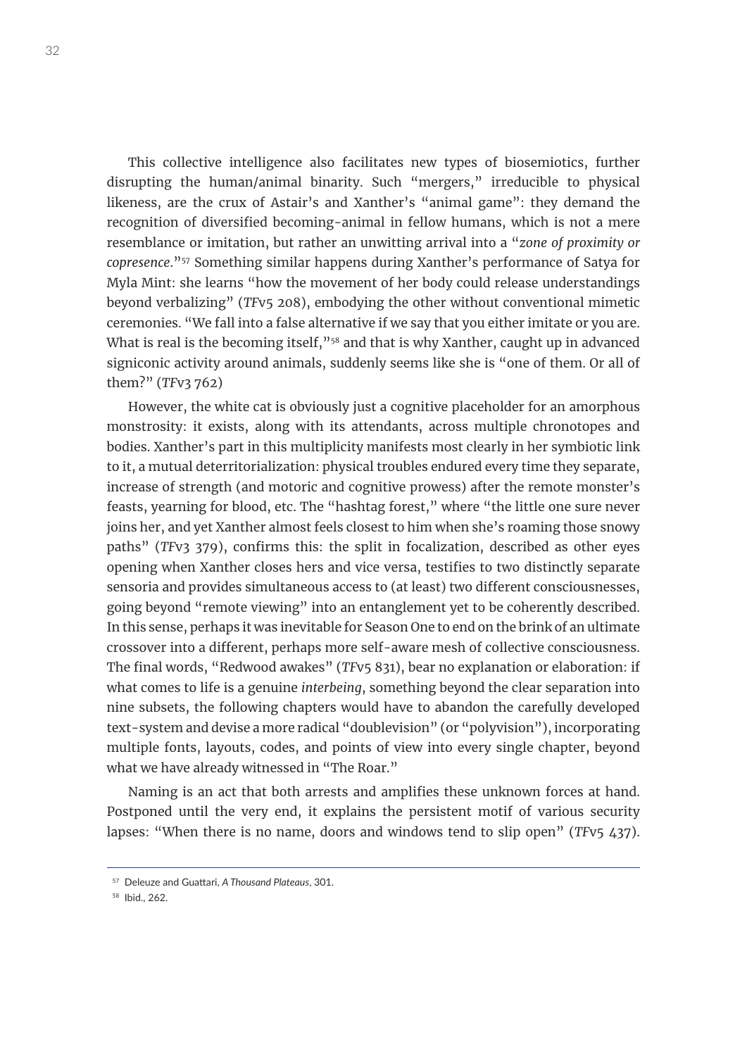This collective intelligence also facilitates new types of biosemiotics, further disrupting the human/animal binarity. Such "mergers," irreducible to physical likeness, are the crux of Astair's and Xanther's "animal game": they demand the recognition of diversified becoming-animal in fellow humans, which is not a mere resemblance or imitation, but rather an unwitting arrival into a "*zone of proximity or copresence*."57 Something similar happens during Xanther's performance of Satya for Myla Mint: she learns "how the movement of her body could release understandings beyond verbalizing" (*TF*v5 208), embodying the other without conventional mimetic ceremonies. "We fall into a false alternative if we say that you either imitate or you are. What is real is the becoming itself,"<sup>58</sup> and that is why Xanther, caught up in advanced signiconic activity around animals, suddenly seems like she is "one of them. Or all of them?" (*TF*v3 762)

However, the white cat is obviously just a cognitive placeholder for an amorphous monstrosity: it exists, along with its attendants, across multiple chronotopes and bodies. Xanther's part in this multiplicity manifests most clearly in her symbiotic link to it, a mutual deterritorialization: physical troubles endured every time they separate, increase of strength (and motoric and cognitive prowess) after the remote monster's feasts, yearning for blood, etc. The "hashtag forest," where "the little one sure never joins her, and yet Xanther almost feels closest to him when she's roaming those snowy paths" (*TF*v3 379), confirms this: the split in focalization, described as other eyes opening when Xanther closes hers and vice versa, testifies to two distinctly separate sensoria and provides simultaneous access to (at least) two different consciousnesses, going beyond "remote viewing" into an entanglement yet to be coherently described. In this sense, perhaps it was inevitable for Season One to end on the brink of an ultimate crossover into a different, perhaps more self-aware mesh of collective consciousness. The final words, "Redwood awakes" (*TF*v5 831), bear no explanation or elaboration: if what comes to life is a genuine *interbeing*, something beyond the clear separation into nine subsets, the following chapters would have to abandon the carefully developed text-system and devise a more radical "doublevision" (or "polyvision"), incorporating multiple fonts, layouts, codes, and points of view into every single chapter, beyond what we have already witnessed in "The Roar."

Naming is an act that both arrests and amplifies these unknown forces at hand. Postponed until the very end, it explains the persistent motif of various security lapses: "When there is no name, doors and windows tend to slip open" (*TF*v5 437).

<sup>57</sup> Deleuze and Guattari, *A Thousand Plateaus*, 301.

<sup>58</sup> Ibid., 262.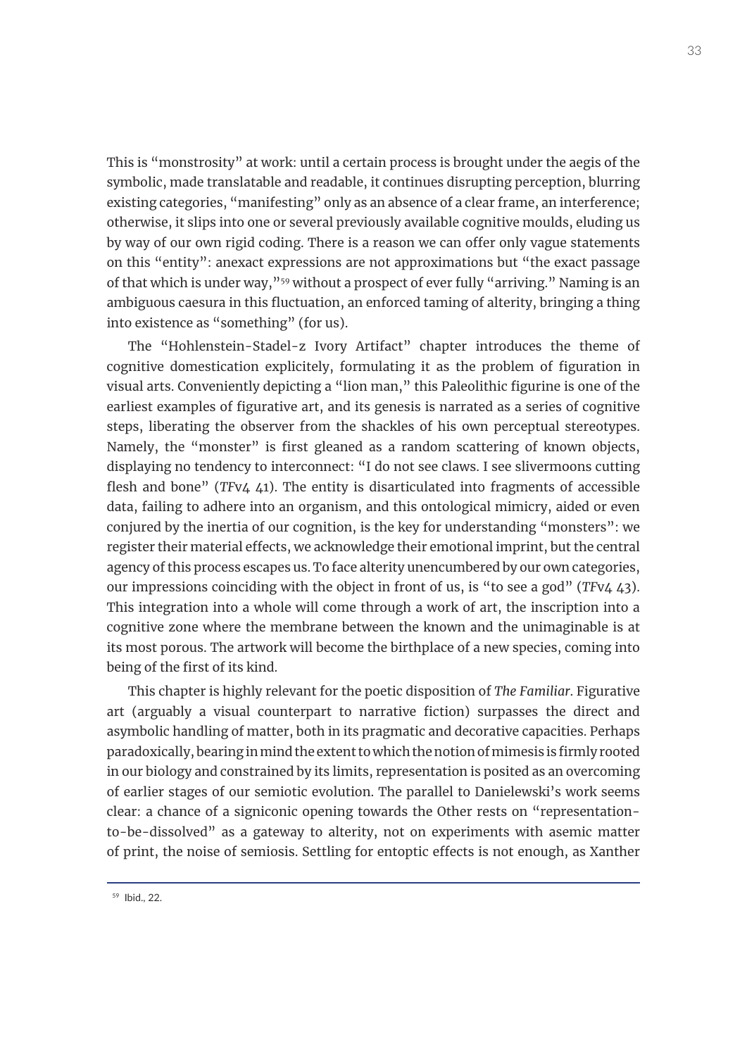This is "monstrosity" at work: until a certain process is brought under the aegis of the symbolic, made translatable and readable, it continues disrupting perception, blurring existing categories, "manifesting" only as an absence of a clear frame, an interference; otherwise, it slips into one or several previously available cognitive moulds, eluding us by way of our own rigid coding. There is a reason we can offer only vague statements on this "entity": anexact expressions are not approximations but "the exact passage of that which is under way,"59 without a prospect of ever fully "arriving." Naming is an ambiguous caesura in this fluctuation, an enforced taming of alterity, bringing a thing into existence as "something" (for us).

The "Hohlenstein-Stadel-z Ivory Artifact" chapter introduces the theme of cognitive domestication explicitely, formulating it as the problem of figuration in visual arts. Conveniently depicting a "lion man," this Paleolithic figurine is one of the earliest examples of figurative art, and its genesis is narrated as a series of cognitive steps, liberating the observer from the shackles of his own perceptual stereotypes. Namely, the "monster" is first gleaned as a random scattering of known objects, displaying no tendency to interconnect: "I do not see claws. I see slivermoons cutting flesh and bone" (*TF*v4 41). The entity is disarticulated into fragments of accessible data, failing to adhere into an organism, and this ontological mimicry, aided or even conjured by the inertia of our cognition, is the key for understanding "monsters": we register their material effects, we acknowledge their emotional imprint, but the central agency of this process escapes us. To face alterity unencumbered by our own categories, our impressions coinciding with the object in front of us, is "to see a god" (*TF*v4 43). This integration into a whole will come through a work of art, the inscription into a cognitive zone where the membrane between the known and the unimaginable is at its most porous. The artwork will become the birthplace of a new species, coming into being of the first of its kind.

This chapter is highly relevant for the poetic disposition of *The Familiar*. Figurative art (arguably a visual counterpart to narrative fiction) surpasses the direct and asymbolic handling of matter, both in its pragmatic and decorative capacities. Perhaps paradoxically, bearing in mind the extent to which the notion of mimesis is firmly rooted in our biology and constrained by its limits, representation is posited as an overcoming of earlier stages of our semiotic evolution. The parallel to Danielewski's work seems clear: a chance of a signiconic opening towards the Other rests on "representationto-be-dissolved" as a gateway to alterity, not on experiments with asemic matter of print, the noise of semiosis. Settling for entoptic effects is not enough, as Xanther

<sup>59</sup> Ibid., 22.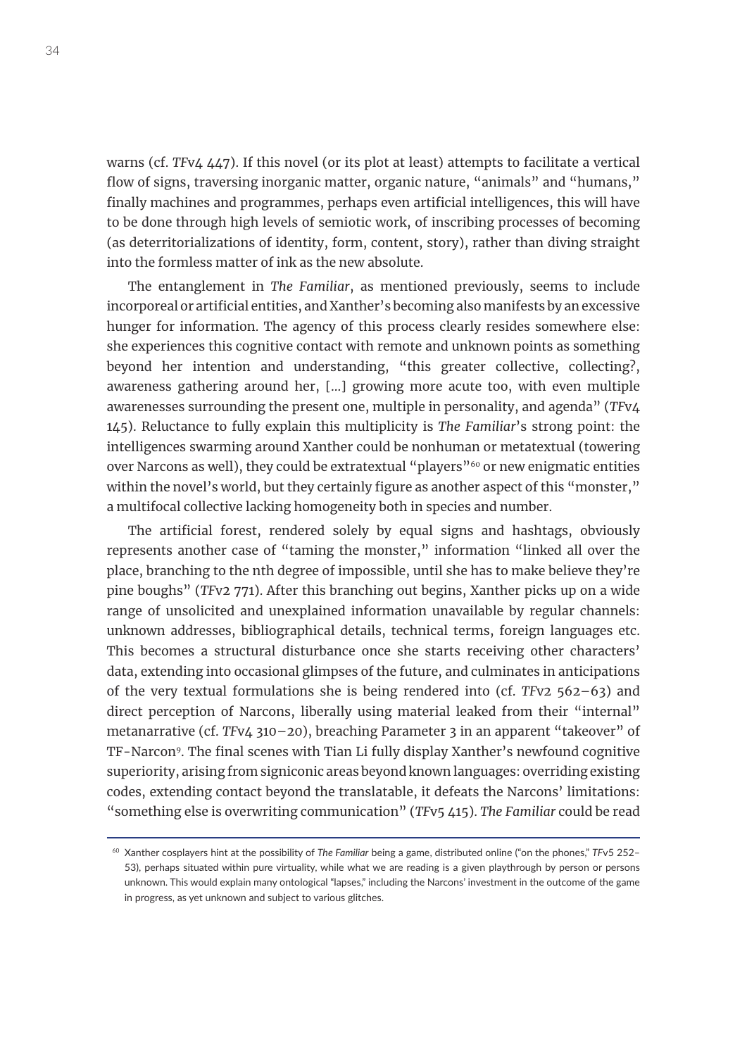warns (cf. *TF*v4 447). If this novel (or its plot at least) attempts to facilitate a vertical flow of signs, traversing inorganic matter, organic nature, "animals" and "humans," finally machines and programmes, perhaps even artificial intelligences, this will have to be done through high levels of semiotic work, of inscribing processes of becoming (as deterritorializations of identity, form, content, story), rather than diving straight into the formless matter of ink as the new absolute.

The entanglement in *The Familiar*, as mentioned previously, seems to include incorporeal or artificial entities, and Xanther's becoming also manifests by an excessive hunger for information. The agency of this process clearly resides somewhere else: she experiences this cognitive contact with remote and unknown points as something beyond her intention and understanding, "this greater collective, collecting?, awareness gathering around her, [...] growing more acute too, with even multiple awarenesses surrounding the present one, multiple in personality, and agenda" (*TF*v4 145). Reluctance to fully explain this multiplicity is *The Familiar*'s strong point: the intelligences swarming around Xanther could be nonhuman or metatextual (towering over Narcons as well), they could be extratextual "players"<sup>60</sup> or new enigmatic entities within the novel's world, but they certainly figure as another aspect of this "monster," a multifocal collective lacking homogeneity both in species and number.

The artificial forest, rendered solely by equal signs and hashtags, obviously represents another case of "taming the monster," information "linked all over the place, branching to the nth degree of impossible, until she has to make believe they're pine boughs" (*TF*v2 771). After this branching out begins, Xanther picks up on a wide range of unsolicited and unexplained information unavailable by regular channels: unknown addresses, bibliographical details, technical terms, foreign languages etc. This becomes a structural disturbance once she starts receiving other characters' data, extending into occasional glimpses of the future, and culminates in anticipations of the very textual formulations she is being rendered into (cf. *TF*v2 562–63) and direct perception of Narcons, liberally using material leaked from their "internal" metanarrative (cf. *TF*v4 310–20), breaching Parameter 3 in an apparent "takeover" of TF-Narcon9. The final scenes with Tian Li fully display Xanther's newfound cognitive superiority, arising from signiconic areas beyond known languages: overriding existing codes, extending contact beyond the translatable, it defeats the Narcons' limitations: "something else is overwriting communication" (*TF*v5 415). *The Familiar* could be read

<sup>60</sup> Xanther cosplayers hint at the possibility of *The Familiar* being a game, distributed online ("on the phones," *TF*v5 252– 53), perhaps situated within pure virtuality, while what we are reading is a given playthrough by person or persons unknown. This would explain many ontological "lapses," including the Narcons' investment in the outcome of the game in progress, as yet unknown and subject to various glitches.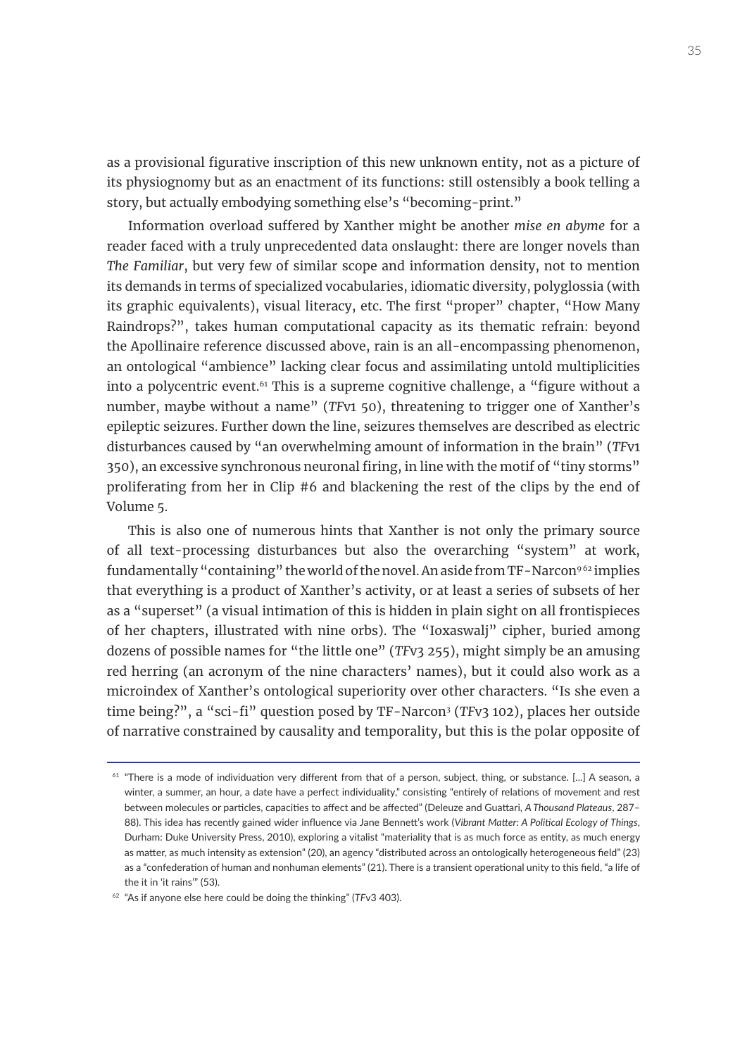as a provisional figurative inscription of this new unknown entity, not as a picture of its physiognomy but as an enactment of its functions: still ostensibly a book telling a story, but actually embodying something else's "becoming-print."

Information overload suffered by Xanther might be another *mise en abyme* for a reader faced with a truly unprecedented data onslaught: there are longer novels than *The Familiar*, but very few of similar scope and information density, not to mention its demands in terms of specialized vocabularies, idiomatic diversity, polyglossia (with its graphic equivalents), visual literacy, etc. The first "proper" chapter, "How Many Raindrops?", takes human computational capacity as its thematic refrain: beyond the Apollinaire reference discussed above, rain is an all-encompassing phenomenon, an ontological "ambience" lacking clear focus and assimilating untold multiplicities into a polycentric event.<sup>61</sup> This is a supreme cognitive challenge, a "figure without a number, maybe without a name" (*TF*v1 50), threatening to trigger one of Xanther's epileptic seizures. Further down the line, seizures themselves are described as electric disturbances caused by "an overwhelming amount of information in the brain" (*TF*v1 350), an excessive synchronous neuronal firing, in line with the motif of "tiny storms" proliferating from her in Clip #6 and blackening the rest of the clips by the end of Volume 5.

This is also one of numerous hints that Xanther is not only the primary source of all text-processing disturbances but also the overarching "system" at work, fundamentally "containing" the world of the novel. An aside from TF-Narcon<sup>962</sup> implies that everything is a product of Xanther's activity, or at least a series of subsets of her as a "superset" (a visual intimation of this is hidden in plain sight on all frontispieces of her chapters, illustrated with nine orbs). The "Ioxaswalj" cipher, buried among dozens of possible names for "the little one" (*TF*v3 255), might simply be an amusing red herring (an acronym of the nine characters' names), but it could also work as a microindex of Xanther's ontological superiority over other characters. "Is she even a time being?", a "sci-fi" question posed by TF-Narcon<sup>3</sup> (TFv3 102), places her outside of narrative constrained by causality and temporality, but this is the polar opposite of

 $61$  "There is a mode of individuation very different from that of a person, subject, thing, or substance. [...] A season, a winter, a summer, an hour, a date have a perfect individuality," consisting "entirely of relations of movement and rest between molecules or particles, capacities to affect and be affected" (Deleuze and Guattari, *A Thousand Plateaus*, 287– 88). This idea has recently gained wider influence via Jane Bennett's work (*Vibrant Matter: A Political Ecology of Things*, Durham: Duke University Press, 2010), exploring a vitalist "materiality that is as much force as entity, as much energy as matter, as much intensity as extension" (20), an agency "distributed across an ontologically heterogeneous field" (23) as a "confederation of human and nonhuman elements" (21). There is a transient operational unity to this field, "a life of the it in 'it rains'" (53).

<sup>62</sup> "As if anyone else here could be doing the thinking" (*TF*v3 403).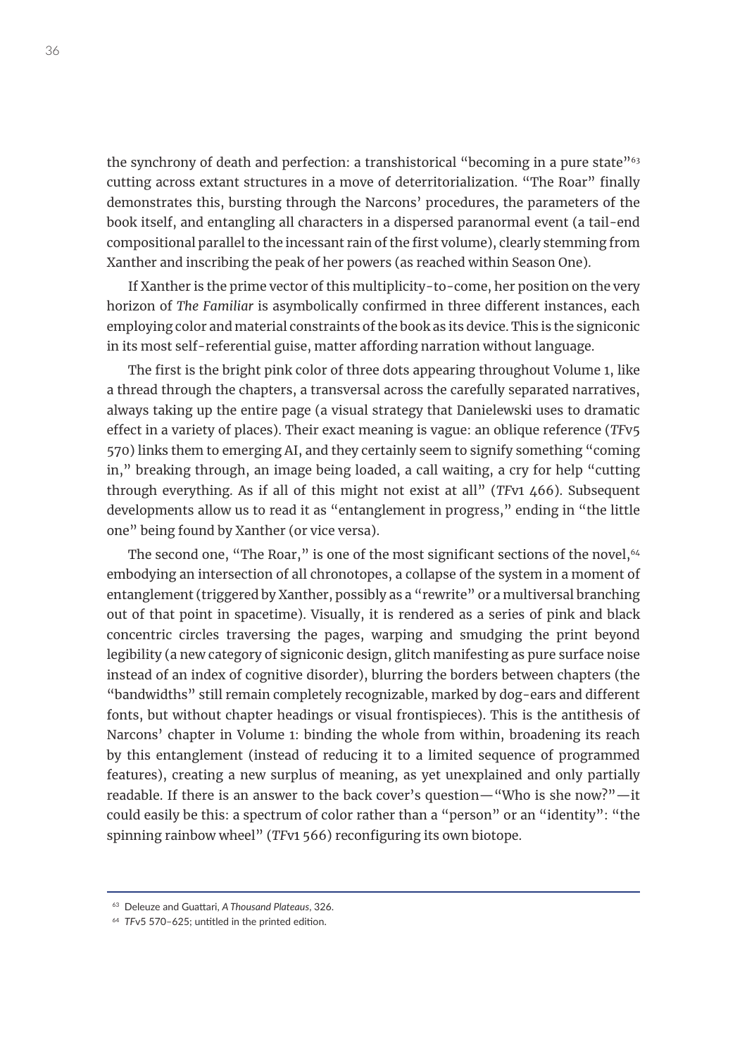the synchrony of death and perfection: a transhistorical "becoming in a pure state"<sup>63</sup> cutting across extant structures in a move of deterritorialization. "The Roar" finally demonstrates this, bursting through the Narcons' procedures, the parameters of the book itself, and entangling all characters in a dispersed paranormal event (a tail-end compositional parallel to the incessant rain of the first volume), clearly stemming from Xanther and inscribing the peak of her powers (as reached within Season One).

If Xanther is the prime vector of this multiplicity-to-come, her position on the very horizon of *The Familiar* is asymbolically confirmed in three different instances, each employing color and material constraints of the book as its device. This is the signiconic in its most self-referential guise, matter affording narration without language.

The first is the bright pink color of three dots appearing throughout Volume 1, like a thread through the chapters, a transversal across the carefully separated narratives, always taking up the entire page (a visual strategy that Danielewski uses to dramatic effect in a variety of places). Their exact meaning is vague: an oblique reference (*TF*v5 570) links them to emerging AI, and they certainly seem to signify something "coming in," breaking through, an image being loaded, a call waiting, a cry for help "cutting through everything. As if all of this might not exist at all" (*TF*v1 466). Subsequent developments allow us to read it as "entanglement in progress," ending in "the little one" being found by Xanther (or vice versa).

The second one, "The Roar," is one of the most significant sections of the novel,  $64$ embodying an intersection of all chronotopes, a collapse of the system in a moment of entanglement (triggered by Xanther, possibly as a "rewrite" or a multiversal branching out of that point in spacetime). Visually, it is rendered as a series of pink and black concentric circles traversing the pages, warping and smudging the print beyond legibility (a new category of signiconic design, glitch manifesting as pure surface noise instead of an index of cognitive disorder), blurring the borders between chapters (the "bandwidths" still remain completely recognizable, marked by dog-ears and different fonts, but without chapter headings or visual frontispieces). This is the antithesis of Narcons' chapter in Volume 1: binding the whole from within, broadening its reach by this entanglement (instead of reducing it to a limited sequence of programmed features), creating a new surplus of meaning, as yet unexplained and only partially readable. If there is an answer to the back cover's question—"Who is she now?"—it could easily be this: a spectrum of color rather than a "person" or an "identity": "the spinning rainbow wheel" (*TF*v1 566) reconfiguring its own biotope.

<sup>63</sup> Deleuze and Guattari, *A Thousand Plateaus*, 326.

<sup>64</sup> *TF*v5 570–625; untitled in the printed edition.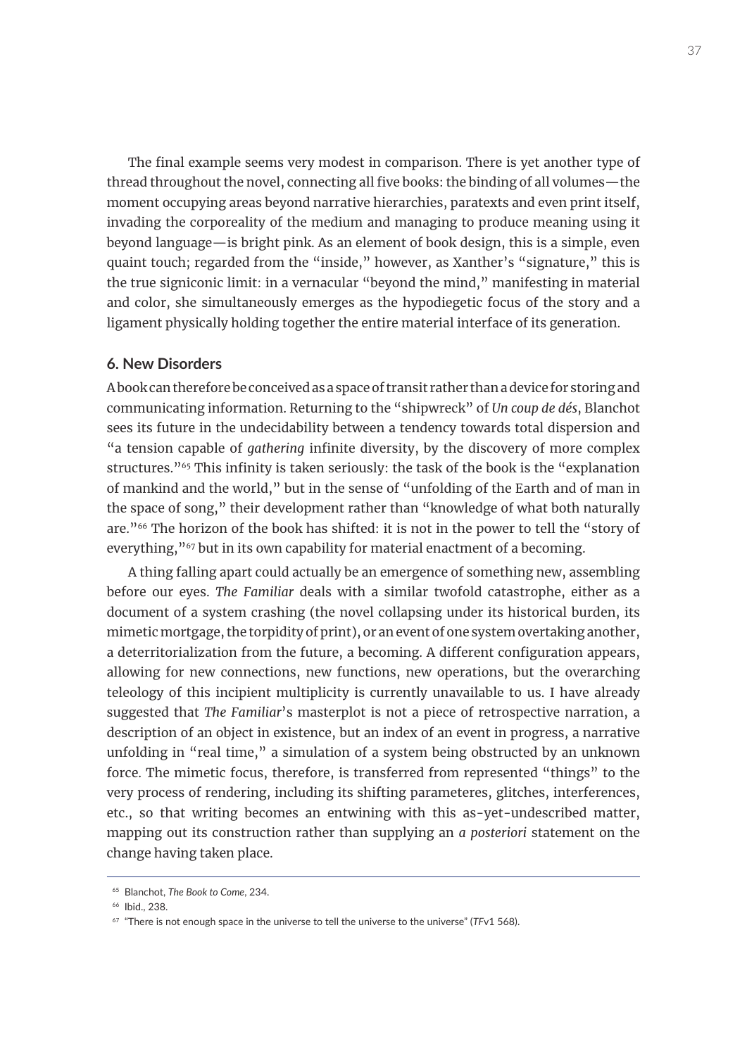The final example seems very modest in comparison. There is yet another type of thread throughout the novel, connecting all five books: the binding of all volumes—the moment occupying areas beyond narrative hierarchies, paratexts and even print itself, invading the corporeality of the medium and managing to produce meaning using it beyond language—is bright pink. As an element of book design, this is a simple, even quaint touch; regarded from the "inside," however, as Xanther's "signature," this is the true signiconic limit: in a vernacular "beyond the mind," manifesting in material and color, she simultaneously emerges as the hypodiegetic focus of the story and a ligament physically holding together the entire material interface of its generation.

### **6. New Disorders**

A book can therefore be conceived as a space of transit rather than a device for storing and communicating information. Returning to the "shipwreck" of *Un coup de dés*, Blanchot sees its future in the undecidability between a tendency towards total dispersion and "a tension capable of *gathering* infinite diversity, by the discovery of more complex structures."<sup>65</sup> This infinity is taken seriously: the task of the book is the "explanation" of mankind and the world," but in the sense of "unfolding of the Earth and of man in the space of song," their development rather than "knowledge of what both naturally are."<sup>66</sup> The horizon of the book has shifted: it is not in the power to tell the "story of everything,"<sup>67</sup> but in its own capability for material enactment of a becoming.

A thing falling apart could actually be an emergence of something new, assembling before our eyes. *The Familiar* deals with a similar twofold catastrophe, either as a document of a system crashing (the novel collapsing under its historical burden, its mimetic mortgage, the torpidity of print), or an event of one system overtaking another, a deterritorialization from the future, a becoming. A different configuration appears, allowing for new connections, new functions, new operations, but the overarching teleology of this incipient multiplicity is currently unavailable to us. I have already suggested that *The Familiar*'s masterplot is not a piece of retrospective narration, a description of an object in existence, but an index of an event in progress, a narrative unfolding in "real time," a simulation of a system being obstructed by an unknown force. The mimetic focus, therefore, is transferred from represented "things" to the very process of rendering, including its shifting parameteres, glitches, interferences, etc., so that writing becomes an entwining with this as-yet-undescribed matter, mapping out its construction rather than supplying an *a posteriori* statement on the change having taken place.

<sup>65</sup> Blanchot, *The Book to Come*, 234.

<sup>66</sup> Ibid., 238.

<sup>67</sup> "There is not enough space in the universe to tell the universe to the universe" (*TF*v1 568).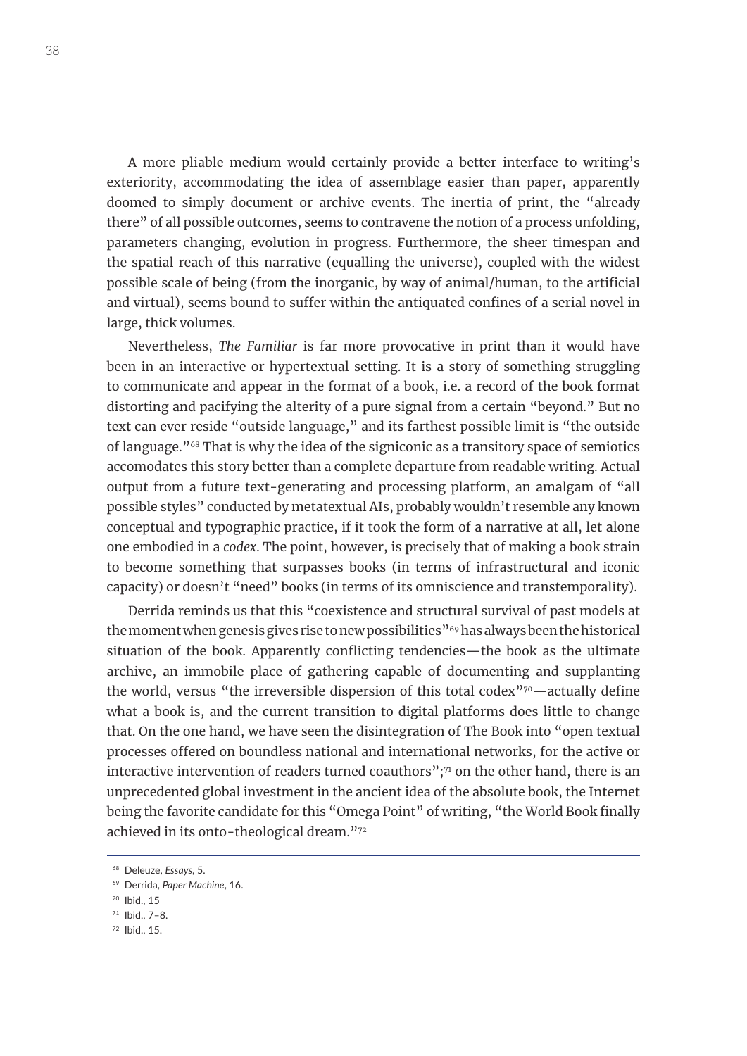A more pliable medium would certainly provide a better interface to writing's exteriority, accommodating the idea of assemblage easier than paper, apparently doomed to simply document or archive events. The inertia of print, the "already there" of all possible outcomes, seems to contravene the notion of a process unfolding, parameters changing, evolution in progress. Furthermore, the sheer timespan and the spatial reach of this narrative (equalling the universe), coupled with the widest possible scale of being (from the inorganic, by way of animal/human, to the artificial and virtual), seems bound to suffer within the antiquated confines of a serial novel in large, thick volumes.

Nevertheless, *The Familiar* is far more provocative in print than it would have been in an interactive or hypertextual setting. It is a story of something struggling to communicate and appear in the format of a book, i.e. a record of the book format distorting and pacifying the alterity of a pure signal from a certain "beyond." But no text can ever reside "outside language," and its farthest possible limit is "the outside of language."68 That is why the idea of the signiconic as a transitory space of semiotics accomodates this story better than a complete departure from readable writing. Actual output from a future text-generating and processing platform, an amalgam of "all possible styles" conducted by metatextual AIs, probably wouldn't resemble any known conceptual and typographic practice, if it took the form of a narrative at all, let alone one embodied in a *codex*. The point, however, is precisely that of making a book strain to become something that surpasses books (in terms of infrastructural and iconic capacity) or doesn't "need" books (in terms of its omniscience and transtemporality).

Derrida reminds us that this "coexistence and structural survival of past models at the moment when genesis gives rise to new possibilities"<sup>69</sup> has always been the historical situation of the book. Apparently conflicting tendencies—the book as the ultimate archive, an immobile place of gathering capable of documenting and supplanting the world, versus "the irreversible dispersion of this total codex"70—actually define what a book is, and the current transition to digital platforms does little to change that. On the one hand, we have seen the disintegration of The Book into "open textual processes offered on boundless national and international networks, for the active or interactive intervention of readers turned coauthors"; $71$  on the other hand, there is an unprecedented global investment in the ancient idea of the absolute book, the Internet being the favorite candidate for this "Omega Point" of writing, "the World Book finally achieved in its onto-theological dream."72

<sup>68</sup> Deleuze, *Essays*, 5.

<sup>69</sup> Derrida, *Paper Machine*, 16.

<sup>70</sup> Ibid., 15

<sup>71</sup> Ibid., 7–8.

<sup>72</sup> Ibid., 15.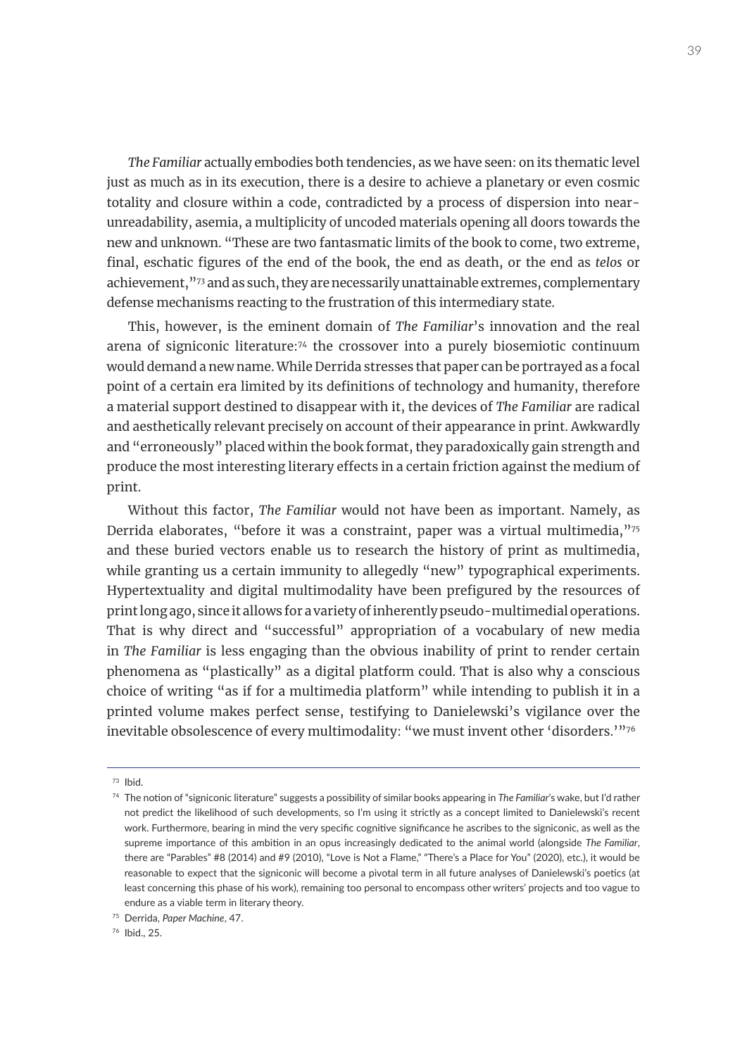*The Familiar* actually embodies both tendencies, as we have seen: on its thematic level just as much as in its execution, there is a desire to achieve a planetary or even cosmic totality and closure within a code, contradicted by a process of dispersion into nearunreadability, asemia, a multiplicity of uncoded materials opening all doors towards the new and unknown. "These are two fantasmatic limits of the book to come, two extreme, final, eschatic figures of the end of the book, the end as death, or the end as *telos* or achievement,"<sup>73</sup> and as such, they are necessarily unattainable extremes, complementary defense mechanisms reacting to the frustration of this intermediary state.

This, however, is the eminent domain of *The Familiar*'s innovation and the real arena of signiconic literature:74 the crossover into a purely biosemiotic continuum would demand a new name. While Derrida stresses that paper can be portrayed as a focal point of a certain era limited by its definitions of technology and humanity, therefore a material support destined to disappear with it, the devices of *The Familiar* are radical and aesthetically relevant precisely on account of their appearance in print. Awkwardly and "erroneously" placed within the book format, they paradoxically gain strength and produce the most interesting literary effects in a certain friction against the medium of print.

Without this factor, *The Familiar* would not have been as important. Namely, as Derrida elaborates, "before it was a constraint, paper was a virtual multimedia,"<sup>75</sup> and these buried vectors enable us to research the history of print as multimedia, while granting us a certain immunity to allegedly "new" typographical experiments. Hypertextuality and digital multimodality have been prefigured by the resources of print long ago, since it allows for a variety of inherently pseudo-multimedial operations. That is why direct and "successful" appropriation of a vocabulary of new media in *The Familiar* is less engaging than the obvious inability of print to render certain phenomena as "plastically" as a digital platform could. That is also why a conscious choice of writing "as if for a multimedia platform" while intending to publish it in a printed volume makes perfect sense, testifying to Danielewski's vigilance over the inevitable obsolescence of every multimodality: "we must invent other 'disorders.'"76

 $73$  Ibid.

<sup>74</sup> The notion of "signiconic literature" suggests a possibility of similar books appearing in *The Familiar*'s wake, but I'd rather not predict the likelihood of such developments, so I'm using it strictly as a concept limited to Danielewski's recent work. Furthermore, bearing in mind the very specific cognitive significance he ascribes to the signiconic, as well as the supreme importance of this ambition in an opus increasingly dedicated to the animal world (alongside *The Familiar*, there are "Parables" #8 (2014) and #9 (2010), "Love is Not a Flame," "There's a Place for You" (2020), etc.), it would be reasonable to expect that the signiconic will become a pivotal term in all future analyses of Danielewski's poetics (at least concerning this phase of his work), remaining too personal to encompass other writers' projects and too vague to endure as a viable term in literary theory.

<sup>75</sup> Derrida, *Paper Machine*, 47.

<sup>76</sup> Ibid., 25.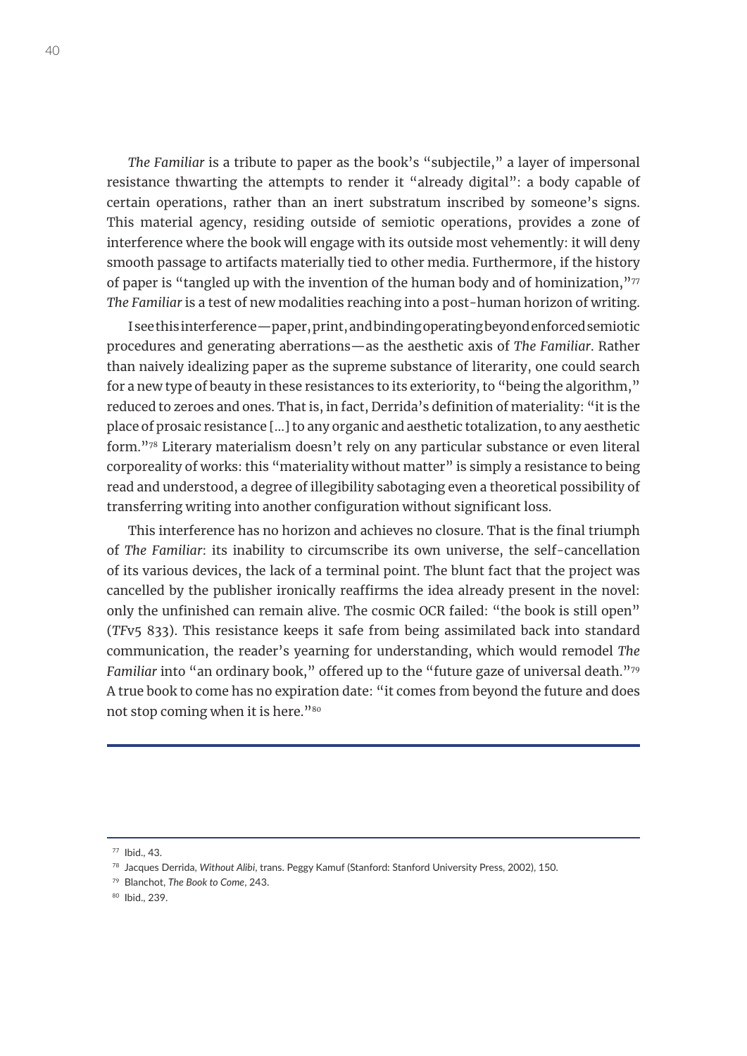*The Familiar* is a tribute to paper as the book's "subjectile," a layer of impersonal resistance thwarting the attempts to render it "already digital": a body capable of certain operations, rather than an inert substratum inscribed by someone's signs. This material agency, residing outside of semiotic operations, provides a zone of interference where the book will engage with its outside most vehemently: it will deny smooth passage to artifacts materially tied to other media. Furthermore, if the history of paper is "tangled up with the invention of the human body and of hominization,"<sup>77</sup> *The Familiar* is a test of new modalities reaching into a post-human horizon of writing.

I see this interference—paper, print, and binding operating beyond enforced semiotic procedures and generating aberrations—as the aesthetic axis of *The Familiar*. Rather than naively idealizing paper as the supreme substance of literarity, one could search for a new type of beauty in these resistances to its exteriority, to "being the algorithm," reduced to zeroes and ones. That is, in fact, Derrida's definition of materiality: "it is the place of prosaic resistance [...] to any organic and aesthetic totalization, to any aesthetic form."78 Literary materialism doesn't rely on any particular substance or even literal corporeality of works: this "materiality without matter" is simply a resistance to being read and understood, a degree of illegibility sabotaging even a theoretical possibility of transferring writing into another configuration without significant loss.

This interference has no horizon and achieves no closure. That is the final triumph of *The Familiar*: its inability to circumscribe its own universe, the self-cancellation of its various devices, the lack of a terminal point. The blunt fact that the project was cancelled by the publisher ironically reaffirms the idea already present in the novel: only the unfinished can remain alive. The cosmic OCR failed: "the book is still open" (*TF*v5 833). This resistance keeps it safe from being assimilated back into standard communication, the reader's yearning for understanding, which would remodel *The Familiar* into "an ordinary book," offered up to the "future gaze of universal death."79 A true book to come has no expiration date: "it comes from beyond the future and does not stop coming when it is here."<sup>80</sup>

<sup>77</sup> Ibid., 43.

<sup>78</sup> Jacques Derrida, *Without Alibi*, trans. Peggy Kamuf (Stanford: Stanford University Press, 2002), 150.

<sup>79</sup> Blanchot, *The Book to Come*, 243.

<sup>80</sup> Ibid., 239.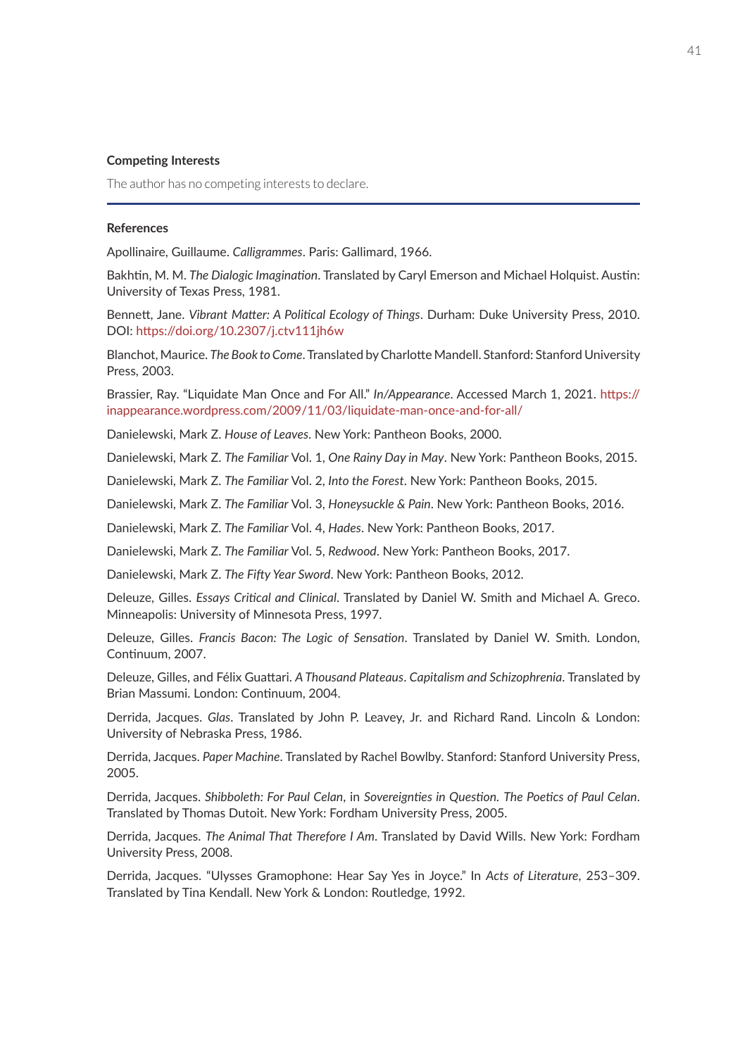#### **Competing Interests**

The author has no competing interests to declare.

#### **References**

Apollinaire, Guillaume. *Calligrammes*. Paris: Gallimard, 1966.

Bakhtin, M. M. *The Dialogic Imagination*. Translated by Caryl Emerson and Michael Holquist. Austin: University of Texas Press, 1981.

Bennett, Jane. *Vibrant Matter: A Political Ecology of Things*. Durham: Duke University Press, 2010. DOI: <https://doi.org/10.2307/j.ctv111jh6w>

Blanchot, Maurice. *The Book to Come*. Translated by Charlotte Mandell. Stanford: Stanford University Press, 2003.

Brassier, Ray. "Liquidate Man Once and For All." *In/Appearance*. Accessed March 1, 2021. [https://](https://inappearance.wordpress.com/2009/11/03/liquidate-man-once-and-for-all/) [inappearance.wordpress.com/2009/11/03/liquidate-man-once-and-for-all/](https://inappearance.wordpress.com/2009/11/03/liquidate-man-once-and-for-all/)

Danielewski, Mark Z. *House of Leaves*. New York: Pantheon Books, 2000.

Danielewski, Mark Z. *The Familiar* Vol. 1, *One Rainy Day in May*. New York: Pantheon Books, 2015.

Danielewski, Mark Z. *The Familiar* Vol. 2, *Into the Forest*. New York: Pantheon Books, 2015.

Danielewski, Mark Z. *The Familiar* Vol. 3, *Honeysuckle & Pain*. New York: Pantheon Books, 2016.

Danielewski, Mark Z. *The Familiar* Vol. 4, *Hades*. New York: Pantheon Books, 2017.

Danielewski, Mark Z. *The Familiar* Vol. 5, *Redwood*. New York: Pantheon Books, 2017.

Danielewski, Mark Z. *The Fifty Year Sword*. New York: Pantheon Books, 2012.

Deleuze, Gilles. *Essays Critical and Clinical*. Translated by Daniel W. Smith and Michael A. Greco. Minneapolis: University of Minnesota Press, 1997.

Deleuze, Gilles. *Francis Bacon: The Logic of Sensation*. Translated by Daniel W. Smith. London, Continuum, 2007.

Deleuze, Gilles, and Félix Guattari. *A Thousand Plateaus*. *Capitalism and Schizophrenia*. Translated by Brian Massumi. London: Continuum, 2004.

Derrida, Jacques. *Glas*. Translated by John P. Leavey, Jr. and Richard Rand. Lincoln & London: University of Nebraska Press, 1986.

Derrida, Jacques. *Paper Machine*. Translated by Rachel Bowlby. Stanford: Stanford University Press, 2005.

Derrida, Jacques. *Shibboleth: For Paul Celan*, in *Sovereignties in Question. The Poetics of Paul Celan*. Translated by Thomas Dutoit. New York: Fordham University Press, 2005.

Derrida, Jacques. *The Animal That Therefore I Am*. Translated by David Wills. New York: Fordham University Press, 2008.

Derrida, Jacques. "Ulysses Gramophone: Hear Say Yes in Joyce." In *Acts of Literature*, 253–309. Translated by Tina Kendall. New York & London: Routledge, 1992.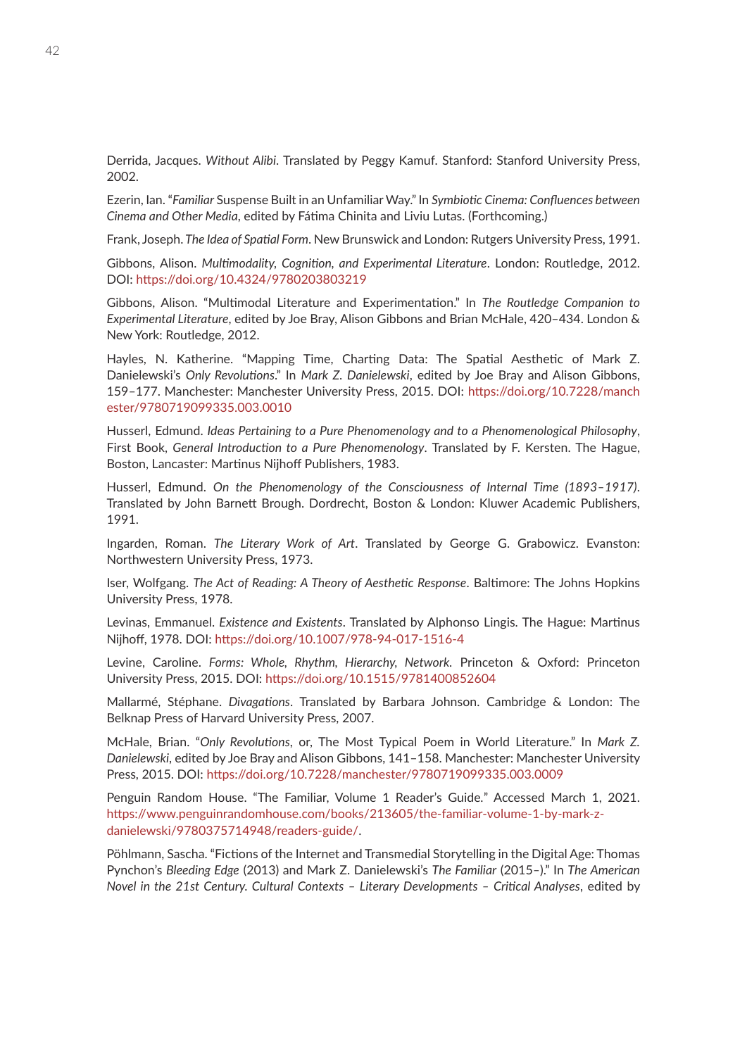Derrida, Jacques. *Without Alibi*. Translated by Peggy Kamuf. Stanford: Stanford University Press, 2002.

Ezerin, Ian. "*Familiar* Suspense Built in an Unfamiliar Way." In *Symbiotic Cinema: Confluences between Cinema and Other Media*, edited by Fátima Chinita and Liviu Lutas. (Forthcoming.)

Frank, Joseph. *The Idea of Spatial Form*. New Brunswick and London: Rutgers University Press, 1991.

Gibbons, Alison. *Multimodality, Cognition, and Experimental Literature*. London: Routledge, 2012. DOI: <https://doi.org/10.4324/9780203803219>

Gibbons, Alison. "Multimodal Literature and Experimentation." In *The Routledge Companion to Experimental Literature*, edited by Joe Bray, Alison Gibbons and Brian McHale, 420–434. London & New York: Routledge, 2012.

Hayles, N. Katherine. "Mapping Time, Charting Data: The Spatial Aesthetic of Mark Z. Danielewski's *Only Revolutions*." In *Mark Z. Danielewski*, edited by Joe Bray and Alison Gibbons, 159–177. Manchester: Manchester University Press, 2015. DOI: [https://doi.org/10.7228/manch](https://doi.org/10.7228/manchester/9780719099335.003.0010) [ester/9780719099335.003.0010](https://doi.org/10.7228/manchester/9780719099335.003.0010)

Husserl, Edmund. *Ideas Pertaining to a Pure Phenomenology and to a Phenomenological Philosophy*, First Book, *General Introduction to a Pure Phenomenology*. Translated by F. Kersten. The Hague, Boston, Lancaster: Martinus Nijhoff Publishers, 1983.

Husserl, Edmund. *On the Phenomenology of the Consciousness of Internal Time (1893–1917)*. Translated by John Barnett Brough. Dordrecht, Boston & London: Kluwer Academic Publishers, 1991.

Ingarden, Roman. *The Literary Work of Art*. Translated by George G. Grabowicz. Evanston: Northwestern University Press, 1973.

Iser, Wolfgang. *The Act of Reading: A Theory of Aesthetic Response*. Baltimore: The Johns Hopkins University Press, 1978.

Levinas, Emmanuel. *Existence and Existents*. Translated by Alphonso Lingis. The Hague: Martinus Nijhoff, 1978. DOI:<https://doi.org/10.1007/978-94-017-1516-4>

Levine, Caroline. *Forms: Whole, Rhythm, Hierarchy, Network.* Princeton & Oxford: Princeton University Press, 2015. DOI: <https://doi.org/10.1515/9781400852604>

Mallarmé, Stéphane. *Divagations*. Translated by Barbara Johnson. Cambridge & London: The Belknap Press of Harvard University Press, 2007.

McHale, Brian. "*Only Revolutions*, or, The Most Typical Poem in World Literature." In *Mark Z. Danielewski*, edited by Joe Bray and Alison Gibbons, 141–158. Manchester: Manchester University Press, 2015. DOI: <https://doi.org/10.7228/manchester/9780719099335.003.0009>

Penguin Random House. "The Familiar, Volume 1 Reader's Guide*.*" Accessed March 1, 2021. [https://www.penguinrandomhouse.com/books/213605/the-familiar-volume-1-by-mark-z](https://www.penguinrandomhouse.com/books/213605/the-familiar-volume-1-by-mark-z-danielewski/9780375714948/readers-guide/)[danielewski/9780375714948/readers-guide/.](https://www.penguinrandomhouse.com/books/213605/the-familiar-volume-1-by-mark-z-danielewski/9780375714948/readers-guide/)

Pöhlmann, Sascha. "Fictions of the Internet and Transmedial Storytelling in the Digital Age: Thomas Pynchon's *Bleeding Edge* (2013) and Mark Z. Danielewski's *The Familiar* (2015*–*)." In *The American Novel in the 21st Century. Cultural Contexts – Literary Developments – Critical Analyses*, edited by